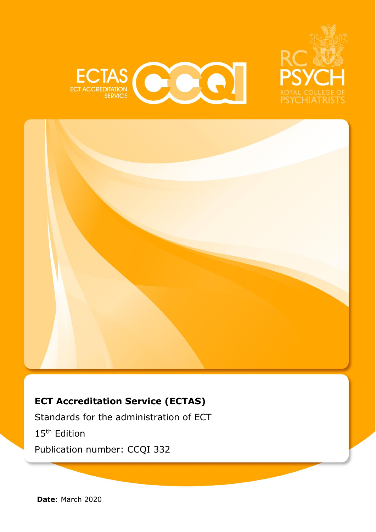





### **ECT Accreditation Service (ECTAS)**

Standards for the administration of ECT 15th Edition Publication number: CCQI 332

**Date**: March 2020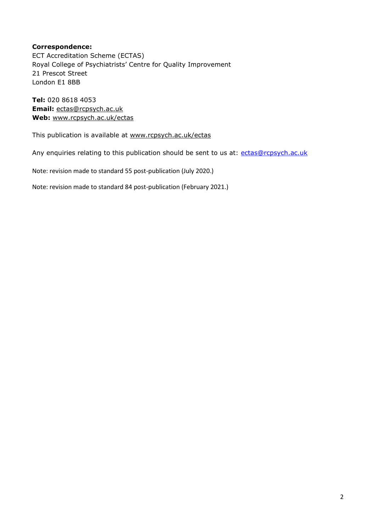#### **Correspondence:**

ECT Accreditation Scheme (ECTAS) Royal College of Psychiatrists' Centre for Quality Improvement 21 Prescot Street London E1 8BB

**Tel:** 020 8618 4053 **Email:** [ectas@rcpsych.ac.uk](mailto:ectas@rcpsych.ac.uk) **Web:** [www.rcpsych.ac.uk/ectas](http://www.rcpsych.ac.uk/ectas)

This publication is available at [www.rcpsych.ac.uk/ectas](http://www.rcpsych.ac.uk/ectas)

Any enquiries relating to this publication should be sent to us at: [ectas@rcpsych.ac.uk](mailto:ectas@rcpsych.ac.uk)

Note: revision made to standard 55 post-publication (July 2020.)

Note: revision made to standard 84 post-publication (February 2021.)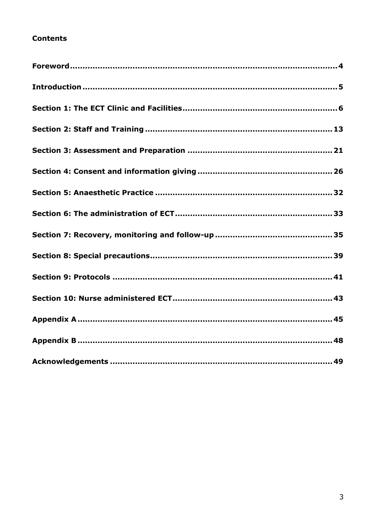### **Contents**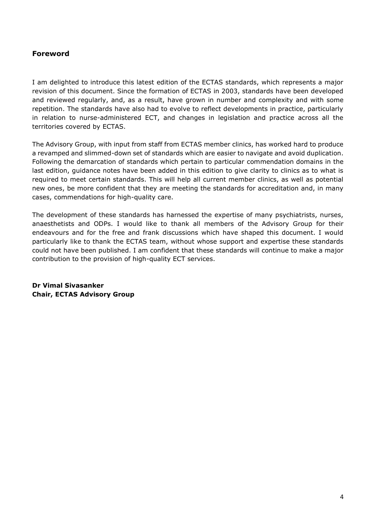### <span id="page-3-0"></span>**Foreword**

I am delighted to introduce this latest edition of the ECTAS standards, which represents a major revision of this document. Since the formation of ECTAS in 2003, standards have been developed and reviewed regularly, and, as a result, have grown in number and complexity and with some repetition. The standards have also had to evolve to reflect developments in practice, particularly in relation to nurse-administered ECT, and changes in legislation and practice across all the territories covered by ECTAS.

The Advisory Group, with input from staff from ECTAS member clinics, has worked hard to produce a revamped and slimmed-down set of standards which are easier to navigate and avoid duplication. Following the demarcation of standards which pertain to particular commendation domains in the last edition, guidance notes have been added in this edition to give clarity to clinics as to what is required to meet certain standards. This will help all current member clinics, as well as potential new ones, be more confident that they are meeting the standards for accreditation and, in many cases, commendations for high-quality care.

The development of these standards has harnessed the expertise of many psychiatrists, nurses, anaesthetists and ODPs. I would like to thank all members of the Advisory Group for their endeavours and for the free and frank discussions which have shaped this document. I would particularly like to thank the ECTAS team, without whose support and expertise these standards could not have been published. I am confident that these standards will continue to make a major contribution to the provision of high-quality ECT services.

**Dr Vimal Sivasanker Chair, ECTAS Advisory Group**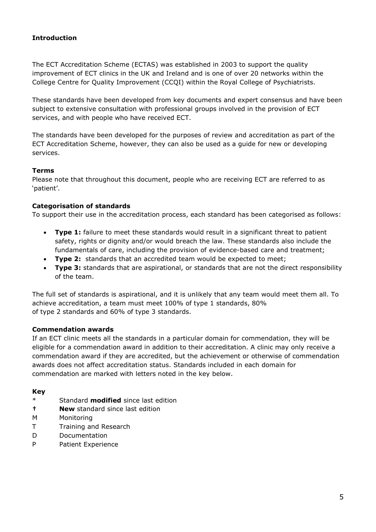### <span id="page-4-0"></span>**Introduction**

The ECT Accreditation Scheme (ECTAS) was established in 2003 to support the quality improvement of ECT clinics in the UK and Ireland and is one of over 20 networks within the College Centre for Quality Improvement (CCQI) within the Royal College of Psychiatrists.

These standards have been developed from key documents and expert consensus and have been subject to extensive consultation with professional groups involved in the provision of ECT services, and with people who have received ECT.

The standards have been developed for the purposes of review and accreditation as part of the ECT Accreditation Scheme, however, they can also be used as a guide for new or developing services.

#### **Terms**

Please note that throughout this document, people who are receiving ECT are referred to as 'patient'.

#### **Categorisation of standards**

To support their use in the accreditation process, each standard has been categorised as follows:

- **Type 1:** failure to meet these standards would result in a significant threat to patient safety, rights or dignity and/or would breach the law. These standards also include the fundamentals of care, including the provision of evidence-based care and treatment;
- **Type 2:** standards that an accredited team would be expected to meet;
- **Type 3:** standards that are aspirational, or standards that are not the direct responsibility of the team.

The full set of standards is aspirational, and it is unlikely that any team would meet them all. To achieve accreditation, a team must meet 100% of type 1 standards, 80% of type 2 standards and 60% of type 3 standards.

#### **Commendation awards**

If an ECT clinic meets all the standards in a particular domain for commendation, they will be eligible for a commendation award in addition to their accreditation. A clinic may only receive a commendation award if they are accredited, but the achievement or otherwise of commendation awards does not affect accreditation status. Standards included in each domain for commendation are marked with letters noted in the key below.

#### **Key**

- \* Standard **modified** since last edition
- **† New** standard since last edition
- M Monitoring
- T Training and Research
- D Documentation
- P Patient Experience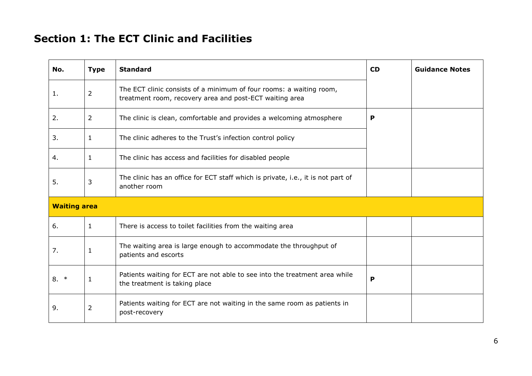## **Section 1: The ECT Clinic and Facilities**

<span id="page-5-0"></span>

| No.                 | <b>Type</b>    | <b>Standard</b>                                                                                                                | <b>CD</b> | <b>Guidance Notes</b> |
|---------------------|----------------|--------------------------------------------------------------------------------------------------------------------------------|-----------|-----------------------|
| 1.                  | 2              | The ECT clinic consists of a minimum of four rooms: a waiting room,<br>treatment room, recovery area and post-ECT waiting area |           |                       |
| 2.                  | 2              | The clinic is clean, comfortable and provides a welcoming atmosphere                                                           | P         |                       |
| 3.                  | 1              | The clinic adheres to the Trust's infection control policy                                                                     |           |                       |
| 4.                  | 1              | The clinic has access and facilities for disabled people                                                                       |           |                       |
| 5.                  | 3              | The clinic has an office for ECT staff which is private, i.e., it is not part of<br>another room                               |           |                       |
| <b>Waiting area</b> |                |                                                                                                                                |           |                       |
| 6.                  | 1              | There is access to toilet facilities from the waiting area                                                                     |           |                       |
| 7.                  | 1              | The waiting area is large enough to accommodate the throughput of<br>patients and escorts                                      |           |                       |
| $8. *$              | 1              | Patients waiting for ECT are not able to see into the treatment area while<br>the treatment is taking place                    | P         |                       |
| 9.                  | $\overline{2}$ | Patients waiting for ECT are not waiting in the same room as patients in<br>post-recovery                                      |           |                       |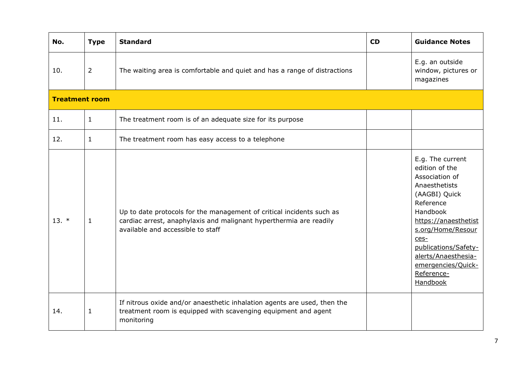| No.                   | <b>Type</b>    | <b>Standard</b>                                                                                                                                                                  | <b>CD</b> | <b>Guidance Notes</b>                                                                                                                                                                                                                                                 |
|-----------------------|----------------|----------------------------------------------------------------------------------------------------------------------------------------------------------------------------------|-----------|-----------------------------------------------------------------------------------------------------------------------------------------------------------------------------------------------------------------------------------------------------------------------|
|                       |                |                                                                                                                                                                                  |           |                                                                                                                                                                                                                                                                       |
| 10.                   | $\overline{2}$ | The waiting area is comfortable and quiet and has a range of distractions                                                                                                        |           | E.g. an outside<br>window, pictures or<br>magazines                                                                                                                                                                                                                   |
| <b>Treatment room</b> |                |                                                                                                                                                                                  |           |                                                                                                                                                                                                                                                                       |
| 11.                   | $\mathbf{1}$   | The treatment room is of an adequate size for its purpose                                                                                                                        |           |                                                                                                                                                                                                                                                                       |
| 12.                   | $\mathbf{1}$   | The treatment room has easy access to a telephone                                                                                                                                |           |                                                                                                                                                                                                                                                                       |
| $13. *$               | $\mathbf{1}$   | Up to date protocols for the management of critical incidents such as<br>cardiac arrest, anaphylaxis and malignant hyperthermia are readily<br>available and accessible to staff |           | E.g. The current<br>edition of the<br>Association of<br>Anaesthetists<br>(AAGBI) Quick<br>Reference<br>Handbook<br>https://anaesthetist<br>s.org/Home/Resour<br>$ces-$<br>publications/Safety-<br>alerts/Anaesthesia-<br>emergencies/Quick-<br>Reference-<br>Handbook |
| 14.                   | $1\,$          | If nitrous oxide and/or anaesthetic inhalation agents are used, then the<br>treatment room is equipped with scavenging equipment and agent<br>monitoring                         |           |                                                                                                                                                                                                                                                                       |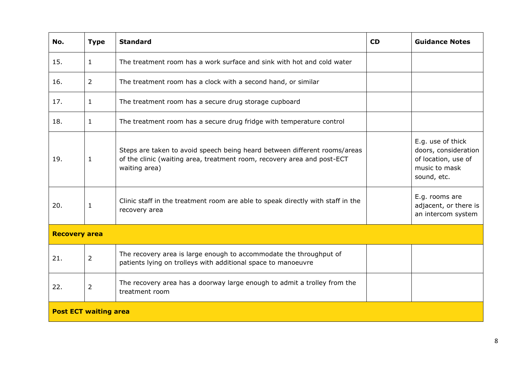| No.                          | <b>Type</b>    | <b>Standard</b>                                                                                                                                                       | CD | <b>Guidance Notes</b>                                                                            |
|------------------------------|----------------|-----------------------------------------------------------------------------------------------------------------------------------------------------------------------|----|--------------------------------------------------------------------------------------------------|
| 15.                          | $\mathbf{1}$   | The treatment room has a work surface and sink with hot and cold water                                                                                                |    |                                                                                                  |
| 16.                          | $\overline{2}$ | The treatment room has a clock with a second hand, or similar                                                                                                         |    |                                                                                                  |
| 17.                          | 1              | The treatment room has a secure drug storage cupboard                                                                                                                 |    |                                                                                                  |
| 18.                          | $\mathbf{1}$   | The treatment room has a secure drug fridge with temperature control                                                                                                  |    |                                                                                                  |
| 19.                          | $\mathbf{1}$   | Steps are taken to avoid speech being heard between different rooms/areas<br>of the clinic (waiting area, treatment room, recovery area and post-ECT<br>waiting area) |    | E.g. use of thick<br>doors, consideration<br>of location, use of<br>music to mask<br>sound, etc. |
| 20.                          | $\mathbf{1}$   | Clinic staff in the treatment room are able to speak directly with staff in the<br>recovery area                                                                      |    | E.g. rooms are<br>adjacent, or there is<br>an intercom system                                    |
| <b>Recovery area</b>         |                |                                                                                                                                                                       |    |                                                                                                  |
| 21.                          | $\overline{2}$ | The recovery area is large enough to accommodate the throughput of<br>patients lying on trolleys with additional space to manoeuvre                                   |    |                                                                                                  |
| 22.                          | $\overline{2}$ | The recovery area has a doorway large enough to admit a trolley from the<br>treatment room                                                                            |    |                                                                                                  |
| <b>Post ECT waiting area</b> |                |                                                                                                                                                                       |    |                                                                                                  |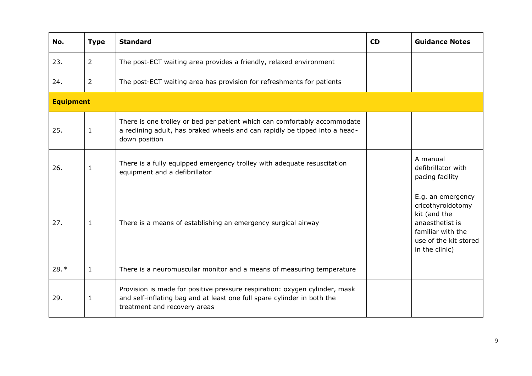| No.              | <b>Type</b>    | <b>Standard</b>                                                                                                                                                                       | <b>CD</b> | <b>Guidance Notes</b>                                                                                                                     |
|------------------|----------------|---------------------------------------------------------------------------------------------------------------------------------------------------------------------------------------|-----------|-------------------------------------------------------------------------------------------------------------------------------------------|
| 23.              | $\overline{2}$ | The post-ECT waiting area provides a friendly, relaxed environment                                                                                                                    |           |                                                                                                                                           |
| 24.              | $\overline{2}$ | The post-ECT waiting area has provision for refreshments for patients                                                                                                                 |           |                                                                                                                                           |
| <b>Equipment</b> |                |                                                                                                                                                                                       |           |                                                                                                                                           |
| 25.              | $\mathbf{1}$   | There is one trolley or bed per patient which can comfortably accommodate<br>a reclining adult, has braked wheels and can rapidly be tipped into a head-<br>down position             |           |                                                                                                                                           |
| 26.              | 1              | There is a fully equipped emergency trolley with adequate resuscitation<br>equipment and a defibrillator                                                                              |           | A manual<br>defibrillator with<br>pacing facility                                                                                         |
| 27.              | $\mathbf{1}$   | There is a means of establishing an emergency surgical airway                                                                                                                         |           | E.g. an emergency<br>cricothyroidotomy<br>kit (and the<br>anaesthetist is<br>familiar with the<br>use of the kit stored<br>in the clinic) |
| $28.*$           | $\mathbf{1}$   | There is a neuromuscular monitor and a means of measuring temperature                                                                                                                 |           |                                                                                                                                           |
| 29.              | $\mathbf{1}$   | Provision is made for positive pressure respiration: oxygen cylinder, mask<br>and self-inflating bag and at least one full spare cylinder in both the<br>treatment and recovery areas |           |                                                                                                                                           |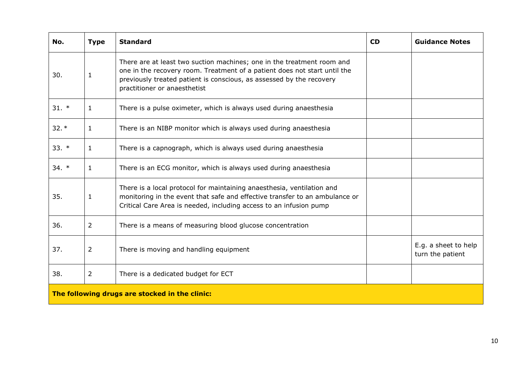| No.     | <b>Type</b>    | <b>Standard</b>                                                                                                                                                                                                                                             | <b>CD</b> | <b>Guidance Notes</b>                    |
|---------|----------------|-------------------------------------------------------------------------------------------------------------------------------------------------------------------------------------------------------------------------------------------------------------|-----------|------------------------------------------|
| 30.     | $\mathbf{1}$   | There are at least two suction machines; one in the treatment room and<br>one in the recovery room. Treatment of a patient does not start until the<br>previously treated patient is conscious, as assessed by the recovery<br>practitioner or anaesthetist |           |                                          |
| $31. *$ | $\mathbf{1}$   | There is a pulse oximeter, which is always used during anaesthesia                                                                                                                                                                                          |           |                                          |
| $32.*$  | $\mathbf{1}$   | There is an NIBP monitor which is always used during anaesthesia                                                                                                                                                                                            |           |                                          |
| $33. *$ | 1              | There is a capnograph, which is always used during anaesthesia                                                                                                                                                                                              |           |                                          |
| $34. *$ | $\mathbf{1}$   | There is an ECG monitor, which is always used during anaesthesia                                                                                                                                                                                            |           |                                          |
| 35.     | $\mathbf{1}$   | There is a local protocol for maintaining anaesthesia, ventilation and<br>monitoring in the event that safe and effective transfer to an ambulance or<br>Critical Care Area is needed, including access to an infusion pump                                 |           |                                          |
| 36.     | $\overline{2}$ | There is a means of measuring blood glucose concentration                                                                                                                                                                                                   |           |                                          |
| 37.     | $\overline{2}$ | There is moving and handling equipment                                                                                                                                                                                                                      |           | E.g. a sheet to help<br>turn the patient |
| 38.     | $\overline{2}$ | There is a dedicated budget for ECT                                                                                                                                                                                                                         |           |                                          |
|         |                | The following drugs are stocked in the clinic:                                                                                                                                                                                                              |           |                                          |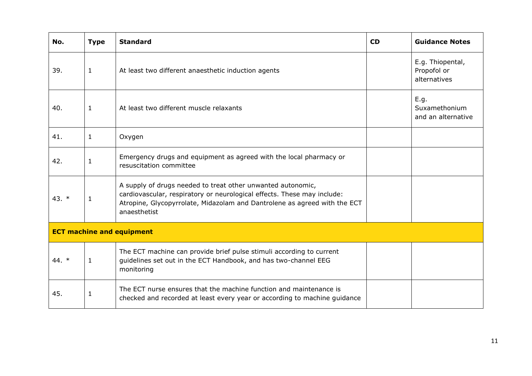| No.     | <b>Type</b>  | <b>Standard</b>                                                                                                                                                                                                                     | <b>CD</b> | <b>Guidance Notes</b>                           |
|---------|--------------|-------------------------------------------------------------------------------------------------------------------------------------------------------------------------------------------------------------------------------------|-----------|-------------------------------------------------|
| 39.     | 1            | At least two different anaesthetic induction agents                                                                                                                                                                                 |           | E.g. Thiopental,<br>Propofol or<br>alternatives |
| 40.     | 1            | At least two different muscle relaxants                                                                                                                                                                                             |           | E.g.<br>Suxamethonium<br>and an alternative     |
| 41.     | $\mathbf{1}$ | Oxygen                                                                                                                                                                                                                              |           |                                                 |
| 42.     | $\mathbf{1}$ | Emergency drugs and equipment as agreed with the local pharmacy or<br>resuscitation committee                                                                                                                                       |           |                                                 |
| 43. $*$ | $\mathbf{1}$ | A supply of drugs needed to treat other unwanted autonomic,<br>cardiovascular, respiratory or neurological effects. These may include:<br>Atropine, Glycopyrrolate, Midazolam and Dantrolene as agreed with the ECT<br>anaesthetist |           |                                                 |
|         |              | <b>ECT machine and equipment</b>                                                                                                                                                                                                    |           |                                                 |
| 44. $*$ | $\mathbf{1}$ | The ECT machine can provide brief pulse stimuli according to current<br>guidelines set out in the ECT Handbook, and has two-channel EEG<br>monitoring                                                                               |           |                                                 |
| 45.     | $\mathbf{1}$ | The ECT nurse ensures that the machine function and maintenance is<br>checked and recorded at least every year or according to machine guidance                                                                                     |           |                                                 |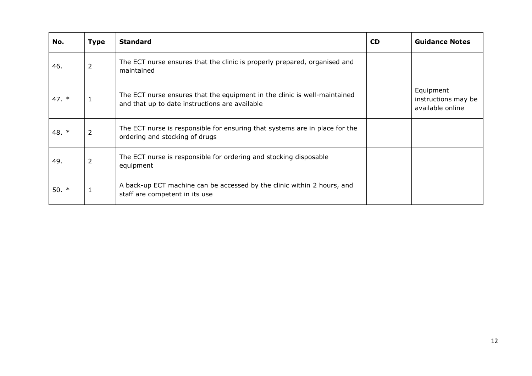| No.     | <b>Type</b>    | <b>Standard</b>                                                                                                             | <b>CD</b> | <b>Guidance Notes</b>                                |
|---------|----------------|-----------------------------------------------------------------------------------------------------------------------------|-----------|------------------------------------------------------|
| 46.     | $\overline{2}$ | The ECT nurse ensures that the clinic is properly prepared, organised and<br>maintained                                     |           |                                                      |
| 47. $*$ | $\mathbf{1}$   | The ECT nurse ensures that the equipment in the clinic is well-maintained<br>and that up to date instructions are available |           | Equipment<br>instructions may be<br>available online |
| 48. *   | $\overline{2}$ | The ECT nurse is responsible for ensuring that systems are in place for the<br>ordering and stocking of drugs               |           |                                                      |
| 49.     | 2              | The ECT nurse is responsible for ordering and stocking disposable<br>equipment                                              |           |                                                      |
| 50. $*$ | $\mathbf 1$    | A back-up ECT machine can be accessed by the clinic within 2 hours, and<br>staff are competent in its use                   |           |                                                      |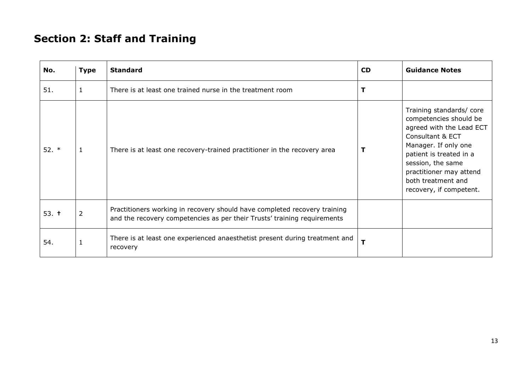## **Section 2: Staff and Training**

<span id="page-12-0"></span>

| No.     | <b>Type</b>    | <b>Standard</b>                                                                                                                                       | <b>CD</b> | <b>Guidance Notes</b>                                                                                                                                                                                                                                 |
|---------|----------------|-------------------------------------------------------------------------------------------------------------------------------------------------------|-----------|-------------------------------------------------------------------------------------------------------------------------------------------------------------------------------------------------------------------------------------------------------|
| 51.     | $\mathbf{1}$   | There is at least one trained nurse in the treatment room                                                                                             | т         |                                                                                                                                                                                                                                                       |
| $52.$ * | 1              | There is at least one recovery-trained practitioner in the recovery area                                                                              | т         | Training standards/core<br>competencies should be<br>agreed with the Lead ECT<br>Consultant & ECT<br>Manager. If only one<br>patient is treated in a<br>session, the same<br>practitioner may attend<br>both treatment and<br>recovery, if competent. |
| 53. t   | $\overline{2}$ | Practitioners working in recovery should have completed recovery training<br>and the recovery competencies as per their Trusts' training requirements |           |                                                                                                                                                                                                                                                       |
| 54.     | $\mathbf{1}$   | There is at least one experienced anaesthetist present during treatment and<br>recovery                                                               | T         |                                                                                                                                                                                                                                                       |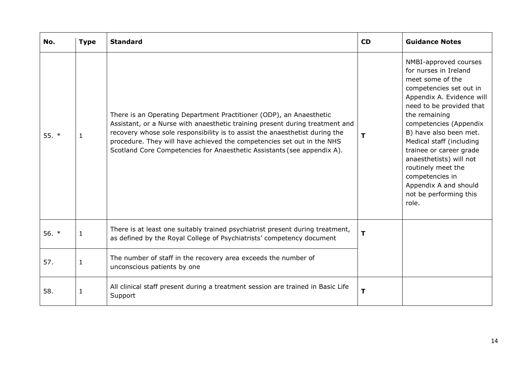| No.     | <b>Type</b>  | <b>Standard</b>                                                                                                                                                                                                                                                                                                                                                                         | <b>CD</b> | <b>Guidance Notes</b>                                                                                                                                                                                                                                                                                                                                                                                              |
|---------|--------------|-----------------------------------------------------------------------------------------------------------------------------------------------------------------------------------------------------------------------------------------------------------------------------------------------------------------------------------------------------------------------------------------|-----------|--------------------------------------------------------------------------------------------------------------------------------------------------------------------------------------------------------------------------------------------------------------------------------------------------------------------------------------------------------------------------------------------------------------------|
| 55. $*$ | 1            | There is an Operating Department Practitioner (ODP), an Anaesthetic<br>Assistant, or a Nurse with anaesthetic training present during treatment and<br>recovery whose sole responsibility is to assist the anaesthetist during the<br>procedure. They will have achieved the competencies set out in the NHS<br>Scotland Core Competencies for Anaesthetic Assistants (see appendix A). | т         | NMBI-approved courses<br>for nurses in Ireland<br>meet some of the<br>competencies set out in<br>Appendix A. Evidence will<br>need to be provided that<br>the remaining<br>competencies (Appendix<br>B) have also been met.<br>Medical staff (including<br>trainee or career grade<br>anaesthetists) will not<br>routinely meet the<br>competencies in<br>Appendix A and should<br>not be performing this<br>role. |
| 56. $*$ | 1            | There is at least one suitably trained psychiatrist present during treatment,<br>as defined by the Royal College of Psychiatrists' competency document                                                                                                                                                                                                                                  | т         |                                                                                                                                                                                                                                                                                                                                                                                                                    |
| 57.     | $\mathbf{1}$ | The number of staff in the recovery area exceeds the number of<br>unconscious patients by one                                                                                                                                                                                                                                                                                           |           |                                                                                                                                                                                                                                                                                                                                                                                                                    |
| 58.     | -1           | All clinical staff present during a treatment session are trained in Basic Life<br>Support                                                                                                                                                                                                                                                                                              | T         |                                                                                                                                                                                                                                                                                                                                                                                                                    |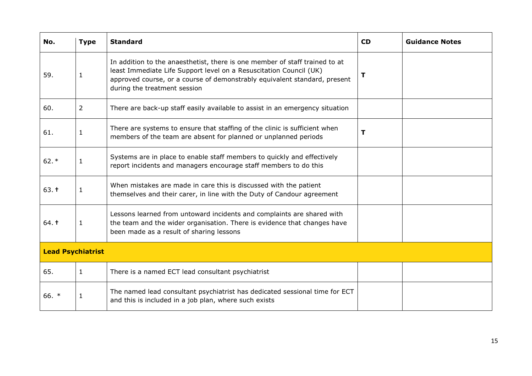| No.                      | <b>Type</b>    | <b>Standard</b>                                                                                                                                                                                                                                                | <b>CD</b> | <b>Guidance Notes</b> |
|--------------------------|----------------|----------------------------------------------------------------------------------------------------------------------------------------------------------------------------------------------------------------------------------------------------------------|-----------|-----------------------|
| 59.                      | $\mathbf{1}$   | In addition to the anaesthetist, there is one member of staff trained to at<br>least Immediate Life Support level on a Resuscitation Council (UK)<br>approved course, or a course of demonstrably equivalent standard, present<br>during the treatment session | т         |                       |
| 60.                      | $\overline{2}$ | There are back-up staff easily available to assist in an emergency situation                                                                                                                                                                                   |           |                       |
| 61.                      | $\mathbf{1}$   | There are systems to ensure that staffing of the clinic is sufficient when<br>members of the team are absent for planned or unplanned periods                                                                                                                  | т         |                       |
| $62.*$                   | $\mathbf{1}$   | Systems are in place to enable staff members to quickly and effectively<br>report incidents and managers encourage staff members to do this                                                                                                                    |           |                       |
| 63.1                     | $\mathbf{1}$   | When mistakes are made in care this is discussed with the patient<br>themselves and their carer, in line with the Duty of Candour agreement                                                                                                                    |           |                       |
| 64.1                     | $\mathbf{1}$   | Lessons learned from untoward incidents and complaints are shared with<br>the team and the wider organisation. There is evidence that changes have<br>been made as a result of sharing lessons                                                                 |           |                       |
| <b>Lead Psychiatrist</b> |                |                                                                                                                                                                                                                                                                |           |                       |
| 65.                      | $\mathbf{1}$   | There is a named ECT lead consultant psychiatrist                                                                                                                                                                                                              |           |                       |
| 66. *                    | $\mathbf{1}$   | The named lead consultant psychiatrist has dedicated sessional time for ECT<br>and this is included in a job plan, where such exists                                                                                                                           |           |                       |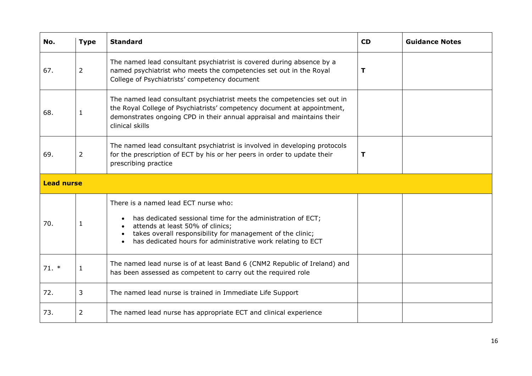| No.               | <b>Type</b>    | <b>Standard</b>                                                                                                                                                                                                                                                      | <b>CD</b>   | <b>Guidance Notes</b> |
|-------------------|----------------|----------------------------------------------------------------------------------------------------------------------------------------------------------------------------------------------------------------------------------------------------------------------|-------------|-----------------------|
| 67.               | 2              | The named lead consultant psychiatrist is covered during absence by a<br>named psychiatrist who meets the competencies set out in the Royal<br>College of Psychiatrists' competency document                                                                         | $\mathbf T$ |                       |
| 68.               | 1              | The named lead consultant psychiatrist meets the competencies set out in<br>the Royal College of Psychiatrists' competency document at appointment,<br>demonstrates ongoing CPD in their annual appraisal and maintains their<br>clinical skills                     |             |                       |
| 69.               | 2              | The named lead consultant psychiatrist is involved in developing protocols<br>for the prescription of ECT by his or her peers in order to update their<br>prescribing practice                                                                                       | Т           |                       |
| <b>Lead nurse</b> |                |                                                                                                                                                                                                                                                                      |             |                       |
| 70.               | 1              | There is a named lead ECT nurse who:<br>has dedicated sessional time for the administration of ECT;<br>attends at least 50% of clinics;<br>takes overall responsibility for management of the clinic;<br>has dedicated hours for administrative work relating to ECT |             |                       |
| $71. *$           | $\mathbf{1}$   | The named lead nurse is of at least Band 6 (CNM2 Republic of Ireland) and<br>has been assessed as competent to carry out the required role                                                                                                                           |             |                       |
| 72.               | 3              | The named lead nurse is trained in Immediate Life Support                                                                                                                                                                                                            |             |                       |
| 73.               | $\overline{2}$ | The named lead nurse has appropriate ECT and clinical experience                                                                                                                                                                                                     |             |                       |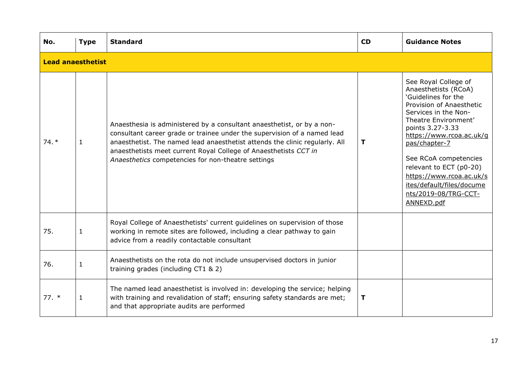| No.     | <b>Type</b>              | <b>Standard</b>                                                                                                                                                                                                                                                                                                                                             | <b>CD</b> | <b>Guidance Notes</b>                                                                                                                                                                                                                                                                                                                                               |  |  |  |
|---------|--------------------------|-------------------------------------------------------------------------------------------------------------------------------------------------------------------------------------------------------------------------------------------------------------------------------------------------------------------------------------------------------------|-----------|---------------------------------------------------------------------------------------------------------------------------------------------------------------------------------------------------------------------------------------------------------------------------------------------------------------------------------------------------------------------|--|--|--|
|         | <b>Lead anaesthetist</b> |                                                                                                                                                                                                                                                                                                                                                             |           |                                                                                                                                                                                                                                                                                                                                                                     |  |  |  |
| $74. *$ | $\mathbf{1}$             | Anaesthesia is administered by a consultant anaesthetist, or by a non-<br>consultant career grade or trainee under the supervision of a named lead<br>anaesthetist. The named lead anaesthetist attends the clinic regularly. All<br>anaesthetists meet current Royal College of Anaesthetists CCT in<br>Anaesthetics competencies for non-theatre settings | T         | See Royal College of<br>Anaesthetists (RCoA)<br>'Guidelines for the<br>Provision of Anaesthetic<br>Services in the Non-<br>Theatre Environment'<br>points 3.27-3.33<br>https://www.rcoa.ac.uk/g<br>pas/chapter-7<br>See RCoA competencies<br>relevant to ECT (p0-20)<br>https://www.rcoa.ac.uk/s<br>ites/default/files/docume<br>nts/2019-08/TRG-CCT-<br>ANNEXD.pdf |  |  |  |
| 75.     | $\mathbf 1$              | Royal College of Anaesthetists' current guidelines on supervision of those<br>working in remote sites are followed, including a clear pathway to gain<br>advice from a readily contactable consultant                                                                                                                                                       |           |                                                                                                                                                                                                                                                                                                                                                                     |  |  |  |
| 76.     | $\mathbf{1}$             | Anaesthetists on the rota do not include unsupervised doctors in junior<br>training grades (including CT1 & 2)                                                                                                                                                                                                                                              |           |                                                                                                                                                                                                                                                                                                                                                                     |  |  |  |
| $77.$ * | $\mathbf{1}$             | The named lead anaesthetist is involved in: developing the service; helping<br>with training and revalidation of staff; ensuring safety standards are met;<br>and that appropriate audits are performed                                                                                                                                                     | T         |                                                                                                                                                                                                                                                                                                                                                                     |  |  |  |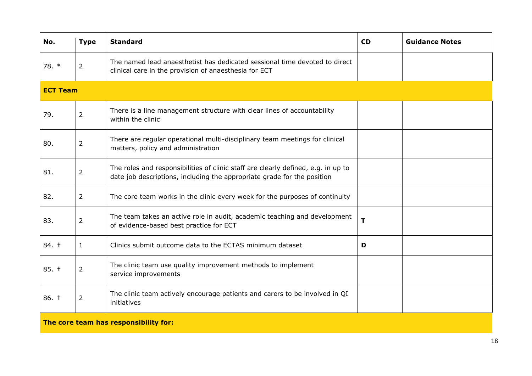| No.             | <b>Type</b>    | <b>Standard</b>                                                                                                                                              | <b>CD</b>   | <b>Guidance Notes</b> |
|-----------------|----------------|--------------------------------------------------------------------------------------------------------------------------------------------------------------|-------------|-----------------------|
| 78. *           | $\overline{2}$ | The named lead anaesthetist has dedicated sessional time devoted to direct<br>clinical care in the provision of anaesthesia for ECT                          |             |                       |
| <b>ECT Team</b> |                |                                                                                                                                                              |             |                       |
| 79.             | $\overline{2}$ | There is a line management structure with clear lines of accountability<br>within the clinic                                                                 |             |                       |
| 80.             | $\overline{2}$ | There are regular operational multi-disciplinary team meetings for clinical<br>matters, policy and administration                                            |             |                       |
| 81.             | $\overline{2}$ | The roles and responsibilities of clinic staff are clearly defined, e.g. in up to<br>date job descriptions, including the appropriate grade for the position |             |                       |
| 82.             | $\overline{2}$ | The core team works in the clinic every week for the purposes of continuity                                                                                  |             |                       |
| 83.             | $\overline{2}$ | The team takes an active role in audit, academic teaching and development<br>of evidence-based best practice for ECT                                         | $\mathbf T$ |                       |
| 84. t           | $\mathbf{1}$   | Clinics submit outcome data to the ECTAS minimum dataset                                                                                                     | D           |                       |
| 85. t           | $\overline{2}$ | The clinic team use quality improvement methods to implement<br>service improvements                                                                         |             |                       |
| 86. t           | $\overline{2}$ | The clinic team actively encourage patients and carers to be involved in QI<br>initiatives                                                                   |             |                       |
|                 |                | The core team has responsibility for:                                                                                                                        |             |                       |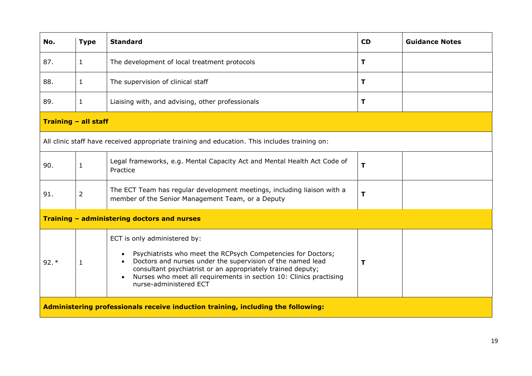| No.                  | <b>Type</b>    | <b>Standard</b>                                                                                                                                                                                                                                                                                                                        | <b>CD</b> | <b>Guidance Notes</b> |
|----------------------|----------------|----------------------------------------------------------------------------------------------------------------------------------------------------------------------------------------------------------------------------------------------------------------------------------------------------------------------------------------|-----------|-----------------------|
| 87.                  | $\mathbf{1}$   | The development of local treatment protocols                                                                                                                                                                                                                                                                                           | т         |                       |
| 88.                  | $\mathbf{1}$   | The supervision of clinical staff                                                                                                                                                                                                                                                                                                      | т         |                       |
| 89.                  | $\mathbf{1}$   | Liaising with, and advising, other professionals                                                                                                                                                                                                                                                                                       | т         |                       |
| Training - all staff |                |                                                                                                                                                                                                                                                                                                                                        |           |                       |
|                      |                | All clinic staff have received appropriate training and education. This includes training on:                                                                                                                                                                                                                                          |           |                       |
| 90.                  | $\mathbf{1}$   | Legal frameworks, e.g. Mental Capacity Act and Mental Health Act Code of<br>Practice                                                                                                                                                                                                                                                   | T         |                       |
| 91.                  | $\overline{2}$ | The ECT Team has regular development meetings, including liaison with a<br>member of the Senior Management Team, or a Deputy                                                                                                                                                                                                           | T         |                       |
|                      |                | Training - administering doctors and nurses                                                                                                                                                                                                                                                                                            |           |                       |
| $92.*$               | 1              | ECT is only administered by:<br>Psychiatrists who meet the RCPsych Competencies for Doctors;<br>Doctors and nurses under the supervision of the named lead<br>consultant psychiatrist or an appropriately trained deputy;<br>Nurses who meet all requirements in section 10: Clinics practising<br>$\bullet$<br>nurse-administered ECT | т         |                       |
|                      |                | Administering professionals receive induction training, including the following:                                                                                                                                                                                                                                                       |           |                       |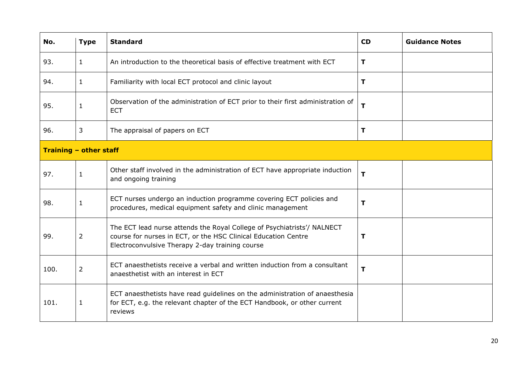| No.  | <b>Type</b>            | <b>Standard</b>                                                                                                                                                                              | <b>CD</b> | <b>Guidance Notes</b> |  |  |
|------|------------------------|----------------------------------------------------------------------------------------------------------------------------------------------------------------------------------------------|-----------|-----------------------|--|--|
| 93.  | $\mathbf{1}$           | An introduction to the theoretical basis of effective treatment with ECT                                                                                                                     | T         |                       |  |  |
| 94.  | $\mathbf{1}$           | Familiarity with local ECT protocol and clinic layout                                                                                                                                        | T         |                       |  |  |
| 95.  | $\mathbf{1}$           | Observation of the administration of ECT prior to their first administration of<br><b>ECT</b>                                                                                                | т         |                       |  |  |
| 96.  | 3                      | The appraisal of papers on ECT                                                                                                                                                               | Т         |                       |  |  |
|      | Training - other staff |                                                                                                                                                                                              |           |                       |  |  |
| 97.  | $\mathbf{1}$           | Other staff involved in the administration of ECT have appropriate induction<br>and ongoing training                                                                                         | T         |                       |  |  |
| 98.  | $\mathbf 1$            | ECT nurses undergo an induction programme covering ECT policies and<br>procedures, medical equipment safety and clinic management                                                            | T         |                       |  |  |
| 99.  | 2                      | The ECT lead nurse attends the Royal College of Psychiatrists'/ NALNECT<br>course for nurses in ECT, or the HSC Clinical Education Centre<br>Electroconvulsive Therapy 2-day training course | т         |                       |  |  |
| 100. | 2                      | ECT anaesthetists receive a verbal and written induction from a consultant<br>anaesthetist with an interest in ECT                                                                           | T         |                       |  |  |
| 101. | $\mathbf{1}$           | ECT anaesthetists have read guidelines on the administration of anaesthesia<br>for ECT, e.g. the relevant chapter of the ECT Handbook, or other current<br>reviews                           |           |                       |  |  |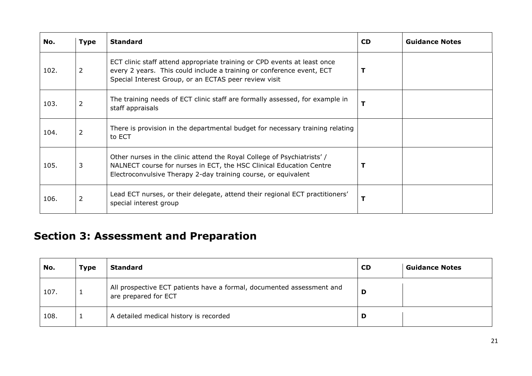| No.  | <b>Type</b>    | <b>Standard</b>                                                                                                                                                                                                 | <b>CD</b> | <b>Guidance Notes</b> |
|------|----------------|-----------------------------------------------------------------------------------------------------------------------------------------------------------------------------------------------------------------|-----------|-----------------------|
| 102. | 2              | ECT clinic staff attend appropriate training or CPD events at least once<br>every 2 years. This could include a training or conference event, ECT<br>Special Interest Group, or an ECTAS peer review visit      |           |                       |
| 103. | $\overline{2}$ | The training needs of ECT clinic staff are formally assessed, for example in<br>staff appraisals                                                                                                                |           |                       |
| 104. | 2              | There is provision in the departmental budget for necessary training relating<br>to ECT                                                                                                                         |           |                       |
| 105. | 3              | Other nurses in the clinic attend the Royal College of Psychiatrists'/<br>NALNECT course for nurses in ECT, the HSC Clinical Education Centre<br>Electroconvulsive Therapy 2-day training course, or equivalent |           |                       |
| 106. | 2              | Lead ECT nurses, or their delegate, attend their regional ECT practitioners'<br>special interest group                                                                                                          |           |                       |

## **Section 3: Assessment and Preparation**

<span id="page-20-0"></span>

| No.  | <b>Type</b> | <b>Standard</b>                                                                               | <b>CD</b> | <b>Guidance Notes</b> |
|------|-------------|-----------------------------------------------------------------------------------------------|-----------|-----------------------|
| 107. |             | All prospective ECT patients have a formal, documented assessment and<br>are prepared for ECT | D         |                       |
| 108. |             | A detailed medical history is recorded                                                        | D         |                       |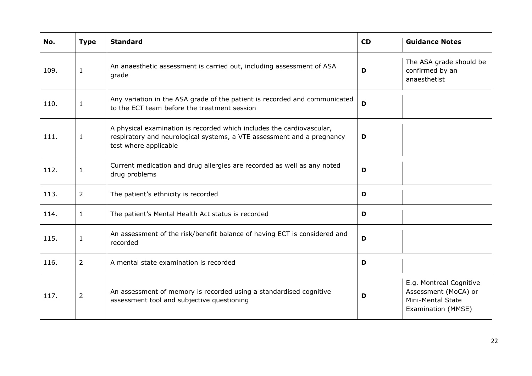| No.  | <b>Type</b>    | <b>Standard</b>                                                                                                                                                          | <b>CD</b> | <b>Guidance Notes</b>                                                                      |
|------|----------------|--------------------------------------------------------------------------------------------------------------------------------------------------------------------------|-----------|--------------------------------------------------------------------------------------------|
| 109. | $\mathbf{1}$   | An anaesthetic assessment is carried out, including assessment of ASA<br>grade                                                                                           | D         | The ASA grade should be<br>confirmed by an<br>anaesthetist                                 |
| 110. | $\mathbf{1}$   | Any variation in the ASA grade of the patient is recorded and communicated<br>to the ECT team before the treatment session                                               | D         |                                                                                            |
| 111. | $\mathbf{1}$   | A physical examination is recorded which includes the cardiovascular,<br>respiratory and neurological systems, a VTE assessment and a pregnancy<br>test where applicable | D         |                                                                                            |
| 112. | $\mathbf{1}$   | Current medication and drug allergies are recorded as well as any noted<br>drug problems                                                                                 | D         |                                                                                            |
| 113. | $\overline{2}$ | The patient's ethnicity is recorded                                                                                                                                      | D         |                                                                                            |
| 114. | $\mathbf{1}$   | The patient's Mental Health Act status is recorded                                                                                                                       | D         |                                                                                            |
| 115. | 1              | An assessment of the risk/benefit balance of having ECT is considered and<br>recorded                                                                                    | D         |                                                                                            |
| 116. | $\overline{2}$ | A mental state examination is recorded                                                                                                                                   | D         |                                                                                            |
| 117. | $\overline{2}$ | An assessment of memory is recorded using a standardised cognitive<br>assessment tool and subjective questioning                                                         | D         | E.g. Montreal Cognitive<br>Assessment (MoCA) or<br>Mini-Mental State<br>Examination (MMSE) |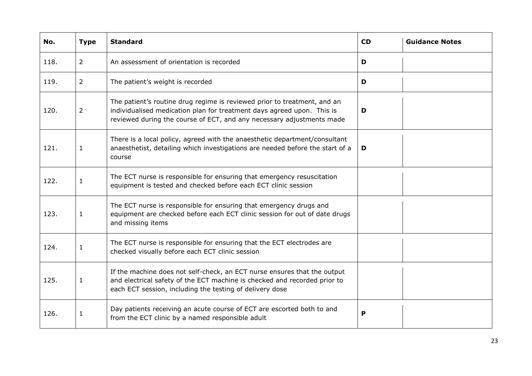| No.  | <b>Type</b>    | <b>Standard</b>                                                                                                                                                                                                             | <b>CD</b> | <b>Guidance Notes</b> |
|------|----------------|-----------------------------------------------------------------------------------------------------------------------------------------------------------------------------------------------------------------------------|-----------|-----------------------|
| 118. | $\overline{2}$ | An assessment of orientation is recorded                                                                                                                                                                                    | D         |                       |
| 119. | $\overline{2}$ | The patient's weight is recorded                                                                                                                                                                                            | D         |                       |
| 120. | $\overline{2}$ | The patient's routine drug regime is reviewed prior to treatment, and an<br>individualised medication plan for treatment days agreed upon. This is<br>reviewed during the course of ECT, and any necessary adjustments made | D         |                       |
| 121. | $\mathbf{1}$   | There is a local policy, agreed with the anaesthetic department/consultant<br>anaesthetist, detailing which investigations are needed before the start of a<br>course                                                       | D         |                       |
| 122. | $\mathbf{1}$   | The ECT nurse is responsible for ensuring that emergency resuscitation<br>equipment is tested and checked before each ECT clinic session                                                                                    |           |                       |
| 123. | $\mathbf{1}$   | The ECT nurse is responsible for ensuring that emergency drugs and<br>equipment are checked before each ECT clinic session for out of date drugs<br>and missing items                                                       |           |                       |
| 124. | $\mathbf{1}$   | The ECT nurse is responsible for ensuring that the ECT electrodes are<br>checked visually before each ECT clinic session                                                                                                    |           |                       |
| 125. | 1              | If the machine does not self-check, an ECT nurse ensures that the output<br>and electrical safety of the ECT machine is checked and recorded prior to<br>each ECT session, including the testing of delivery dose           |           |                       |
| 126. | $\mathbf{1}$   | Day patients receiving an acute course of ECT are escorted both to and<br>from the ECT clinic by a named responsible adult                                                                                                  | P         |                       |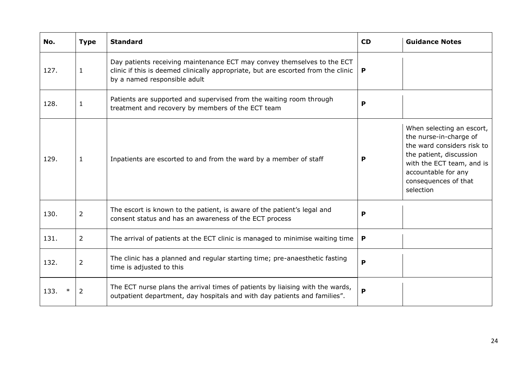| No.  | <b>Type</b>    | <b>Standard</b>                                                                                                                                                                              | <b>CD</b> | <b>Guidance Notes</b>                                                                                                                                                                                 |
|------|----------------|----------------------------------------------------------------------------------------------------------------------------------------------------------------------------------------------|-----------|-------------------------------------------------------------------------------------------------------------------------------------------------------------------------------------------------------|
| 127. | $\mathbf{1}$   | Day patients receiving maintenance ECT may convey themselves to the ECT<br>clinic if this is deemed clinically appropriate, but are escorted from the clinic<br>by a named responsible adult | P         |                                                                                                                                                                                                       |
| 128. | $\mathbf 1$    | Patients are supported and supervised from the waiting room through<br>treatment and recovery by members of the ECT team                                                                     | P         |                                                                                                                                                                                                       |
| 129. | $\mathbf{1}$   | Inpatients are escorted to and from the ward by a member of staff                                                                                                                            | Р         | When selecting an escort,<br>the nurse-in-charge of<br>the ward considers risk to<br>the patient, discussion<br>with the ECT team, and is<br>accountable for any<br>consequences of that<br>selection |
| 130. | $\overline{2}$ | The escort is known to the patient, is aware of the patient's legal and<br>consent status and has an awareness of the ECT process                                                            | P         |                                                                                                                                                                                                       |
| 131. | $\overline{2}$ | The arrival of patients at the ECT clinic is managed to minimise waiting time                                                                                                                | P         |                                                                                                                                                                                                       |
| 132. | $\overline{2}$ | The clinic has a planned and regular starting time; pre-anaesthetic fasting<br>time is adjusted to this                                                                                      | P         |                                                                                                                                                                                                       |
| 133. | $\overline{2}$ | The ECT nurse plans the arrival times of patients by liaising with the wards,<br>outpatient department, day hospitals and with day patients and families".                                   | P         |                                                                                                                                                                                                       |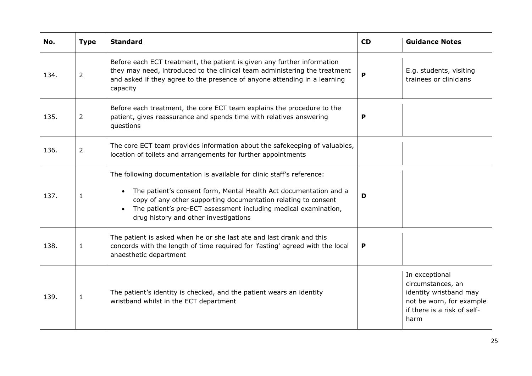| No.  | <b>Type</b>    | <b>Standard</b>                                                                                                                                                                                                                                                                                                                        | CD | <b>Guidance Notes</b>                                                                                                            |
|------|----------------|----------------------------------------------------------------------------------------------------------------------------------------------------------------------------------------------------------------------------------------------------------------------------------------------------------------------------------------|----|----------------------------------------------------------------------------------------------------------------------------------|
| 134. | $\overline{2}$ | Before each ECT treatment, the patient is given any further information<br>they may need, introduced to the clinical team administering the treatment<br>and asked if they agree to the presence of anyone attending in a learning<br>capacity                                                                                         | P  | E.g. students, visiting<br>trainees or clinicians                                                                                |
| 135. | $\overline{2}$ | Before each treatment, the core ECT team explains the procedure to the<br>patient, gives reassurance and spends time with relatives answering<br>questions                                                                                                                                                                             | P  |                                                                                                                                  |
| 136. | $\overline{2}$ | The core ECT team provides information about the safekeeping of valuables,<br>location of toilets and arrangements for further appointments                                                                                                                                                                                            |    |                                                                                                                                  |
| 137. | $\mathbf{1}$   | The following documentation is available for clinic staff's reference:<br>The patient's consent form, Mental Health Act documentation and a<br>$\bullet$<br>copy of any other supporting documentation relating to consent<br>The patient's pre-ECT assessment including medical examination,<br>drug history and other investigations | D  |                                                                                                                                  |
| 138. | $\mathbf{1}$   | The patient is asked when he or she last ate and last drank and this<br>concords with the length of time required for 'fasting' agreed with the local<br>anaesthetic department                                                                                                                                                        | P  |                                                                                                                                  |
| 139. | $\mathbf{1}$   | The patient's identity is checked, and the patient wears an identity<br>wristband whilst in the ECT department                                                                                                                                                                                                                         |    | In exceptional<br>circumstances, an<br>identity wristband may<br>not be worn, for example<br>if there is a risk of self-<br>harm |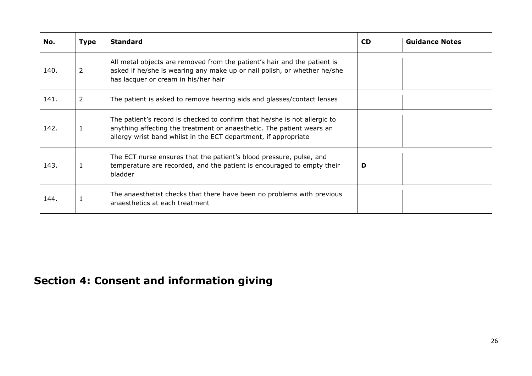| No.  | <b>Type</b>    | <b>Standard</b>                                                                                                                                                                                                       | <b>CD</b> | <b>Guidance Notes</b> |
|------|----------------|-----------------------------------------------------------------------------------------------------------------------------------------------------------------------------------------------------------------------|-----------|-----------------------|
| 140. | 2              | All metal objects are removed from the patient's hair and the patient is<br>asked if he/she is wearing any make up or nail polish, or whether he/she<br>has lacquer or cream in his/her hair                          |           |                       |
| 141. | $\overline{2}$ | The patient is asked to remove hearing aids and glasses/contact lenses                                                                                                                                                |           |                       |
| 142. |                | The patient's record is checked to confirm that he/she is not allergic to<br>anything affecting the treatment or anaesthetic. The patient wears an<br>allergy wrist band whilst in the ECT department, if appropriate |           |                       |
| 143. |                | The ECT nurse ensures that the patient's blood pressure, pulse, and<br>temperature are recorded, and the patient is encouraged to empty their<br>bladder                                                              | D         |                       |
| 144. |                | The anaesthetist checks that there have been no problems with previous<br>anaesthetics at each treatment                                                                                                              |           |                       |

## <span id="page-25-0"></span>**Section 4: Consent and information giving**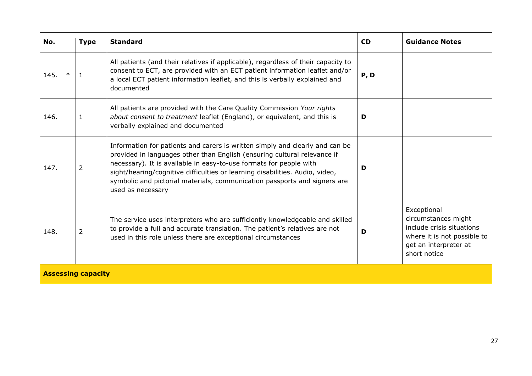| No.  | <b>Type</b>               | <b>Standard</b>                                                                                                                                                                                                                                                                                                                                                                                                  | <b>CD</b> | <b>Guidance Notes</b>                                                                                                                   |  |
|------|---------------------------|------------------------------------------------------------------------------------------------------------------------------------------------------------------------------------------------------------------------------------------------------------------------------------------------------------------------------------------------------------------------------------------------------------------|-----------|-----------------------------------------------------------------------------------------------------------------------------------------|--|
| 145. |                           | All patients (and their relatives if applicable), regardless of their capacity to<br>consent to ECT, are provided with an ECT patient information leaflet and/or<br>a local ECT patient information leaflet, and this is verbally explained and<br>documented                                                                                                                                                    | P, D      |                                                                                                                                         |  |
| 146. | $\mathbf{1}$              | All patients are provided with the Care Quality Commission Your rights<br>about consent to treatment leaflet (England), or equivalent, and this is<br>verbally explained and documented                                                                                                                                                                                                                          | D         |                                                                                                                                         |  |
| 147. | $\overline{2}$            | Information for patients and carers is written simply and clearly and can be<br>provided in languages other than English (ensuring cultural relevance if<br>necessary). It is available in easy-to-use formats for people with<br>sight/hearing/cognitive difficulties or learning disabilities. Audio, video,<br>symbolic and pictorial materials, communication passports and signers are<br>used as necessary | D         |                                                                                                                                         |  |
| 148. | $\overline{2}$            | The service uses interpreters who are sufficiently knowledgeable and skilled<br>to provide a full and accurate translation. The patient's relatives are not<br>used in this role unless there are exceptional circumstances                                                                                                                                                                                      | D         | Exceptional<br>circumstances might<br>include crisis situations<br>where it is not possible to<br>get an interpreter at<br>short notice |  |
|      | <b>Assessing capacity</b> |                                                                                                                                                                                                                                                                                                                                                                                                                  |           |                                                                                                                                         |  |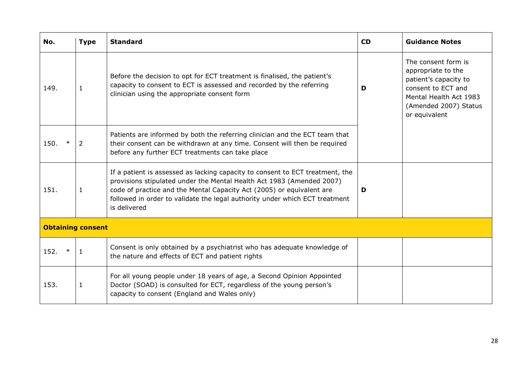| No.                      | <b>Type</b>    | <b>Standard</b>                                                                                                                                                                                                                                                                                                                | <b>CD</b> | <b>Guidance Notes</b>                                                                                                                                        |
|--------------------------|----------------|--------------------------------------------------------------------------------------------------------------------------------------------------------------------------------------------------------------------------------------------------------------------------------------------------------------------------------|-----------|--------------------------------------------------------------------------------------------------------------------------------------------------------------|
| 149.                     | $\mathbf{1}$   | Before the decision to opt for ECT treatment is finalised, the patient's<br>capacity to consent to ECT is assessed and recorded by the referring<br>clinician using the appropriate consent form                                                                                                                               | D         | The consent form is<br>appropriate to the<br>patient's capacity to<br>consent to ECT and<br>Mental Health Act 1983<br>(Amended 2007) Status<br>or equivalent |
| $\ast$<br>150.           | $\overline{2}$ | Patients are informed by both the referring clinician and the ECT team that<br>their consent can be withdrawn at any time. Consent will then be required<br>before any further ECT treatments can take place                                                                                                                   |           |                                                                                                                                                              |
| 151.                     | $\mathbf{1}$   | If a patient is assessed as lacking capacity to consent to ECT treatment, the<br>provisions stipulated under the Mental Health Act 1983 (Amended 2007)<br>code of practice and the Mental Capacity Act (2005) or equivalent are<br>followed in order to validate the legal authority under which ECT treatment<br>is delivered | D         |                                                                                                                                                              |
| <b>Obtaining consent</b> |                |                                                                                                                                                                                                                                                                                                                                |           |                                                                                                                                                              |
| 152.<br>$\ast$           | 1              | Consent is only obtained by a psychiatrist who has adequate knowledge of<br>the nature and effects of ECT and patient rights                                                                                                                                                                                                   |           |                                                                                                                                                              |
| 153.                     | $\mathbf{1}$   | For all young people under 18 years of age, a Second Opinion Appointed<br>Doctor (SOAD) is consulted for ECT, regardless of the young person's<br>capacity to consent (England and Wales only)                                                                                                                                 |           |                                                                                                                                                              |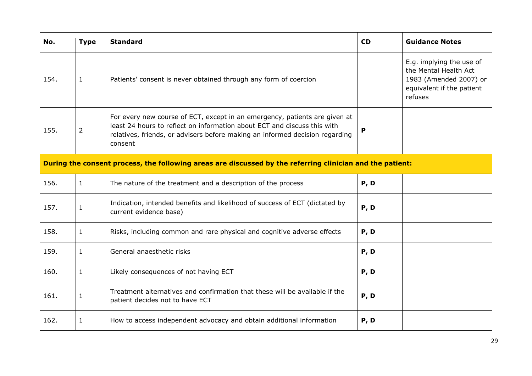| No.  | <b>Type</b>                                                                                               | <b>Standard</b>                                                                                                                                                                                                                                   | <b>CD</b> | <b>Guidance Notes</b>                                                                                               |  |
|------|-----------------------------------------------------------------------------------------------------------|---------------------------------------------------------------------------------------------------------------------------------------------------------------------------------------------------------------------------------------------------|-----------|---------------------------------------------------------------------------------------------------------------------|--|
| 154. | $\mathbf{1}$                                                                                              | Patients' consent is never obtained through any form of coercion                                                                                                                                                                                  |           | E.g. implying the use of<br>the Mental Health Act<br>1983 (Amended 2007) or<br>equivalent if the patient<br>refuses |  |
| 155. | $\overline{2}$                                                                                            | For every new course of ECT, except in an emergency, patients are given at<br>least 24 hours to reflect on information about ECT and discuss this with<br>relatives, friends, or advisers before making an informed decision regarding<br>consent | P         |                                                                                                                     |  |
|      | During the consent process, the following areas are discussed by the referring clinician and the patient: |                                                                                                                                                                                                                                                   |           |                                                                                                                     |  |
| 156. | $\mathbf{1}$                                                                                              | The nature of the treatment and a description of the process                                                                                                                                                                                      | P, D      |                                                                                                                     |  |
| 157. | $\mathbf{1}$                                                                                              | Indication, intended benefits and likelihood of success of ECT (dictated by<br>current evidence base)                                                                                                                                             | P, D      |                                                                                                                     |  |
| 158. | $\mathbf{1}$                                                                                              | Risks, including common and rare physical and cognitive adverse effects                                                                                                                                                                           | P, D      |                                                                                                                     |  |
| 159. | $\mathbf{1}$                                                                                              | General anaesthetic risks                                                                                                                                                                                                                         | P, D      |                                                                                                                     |  |
| 160. | $\mathbf{1}$                                                                                              | Likely consequences of not having ECT                                                                                                                                                                                                             | P, D      |                                                                                                                     |  |
| 161. | $\mathbf{1}$                                                                                              | Treatment alternatives and confirmation that these will be available if the<br>patient decides not to have ECT                                                                                                                                    | P, D      |                                                                                                                     |  |
| 162. | $\mathbf{1}$                                                                                              | How to access independent advocacy and obtain additional information                                                                                                                                                                              | P, D      |                                                                                                                     |  |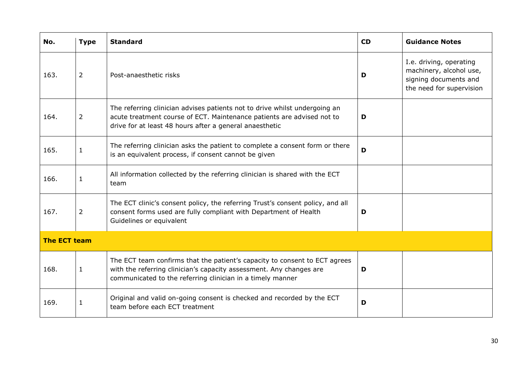| No.                 | <b>Type</b>    | <b>Standard</b>                                                                                                                                                                                                 | <b>CD</b> | <b>Guidance Notes</b>                                                                                   |
|---------------------|----------------|-----------------------------------------------------------------------------------------------------------------------------------------------------------------------------------------------------------------|-----------|---------------------------------------------------------------------------------------------------------|
| 163.                | $\overline{2}$ | Post-anaesthetic risks                                                                                                                                                                                          | D         | I.e. driving, operating<br>machinery, alcohol use,<br>signing documents and<br>the need for supervision |
| 164.                | $\overline{2}$ | The referring clinician advises patients not to drive whilst undergoing an<br>acute treatment course of ECT. Maintenance patients are advised not to<br>drive for at least 48 hours after a general anaesthetic | D         |                                                                                                         |
| 165.                | $1\,$          | The referring clinician asks the patient to complete a consent form or there<br>is an equivalent process, if consent cannot be given                                                                            | D         |                                                                                                         |
| 166.                | $\mathbf{1}$   | All information collected by the referring clinician is shared with the ECT<br>team                                                                                                                             |           |                                                                                                         |
| 167.                | $\overline{2}$ | The ECT clinic's consent policy, the referring Trust's consent policy, and all<br>consent forms used are fully compliant with Department of Health<br>Guidelines or equivalent                                  | D         |                                                                                                         |
| <b>The ECT team</b> |                |                                                                                                                                                                                                                 |           |                                                                                                         |
| 168.                | $\mathbf{1}$   | The ECT team confirms that the patient's capacity to consent to ECT agrees<br>with the referring clinician's capacity assessment. Any changes are<br>communicated to the referring clinician in a timely manner | D         |                                                                                                         |
| 169.                | $\mathbf{1}$   | Original and valid on-going consent is checked and recorded by the ECT<br>team before each ECT treatment                                                                                                        | D         |                                                                                                         |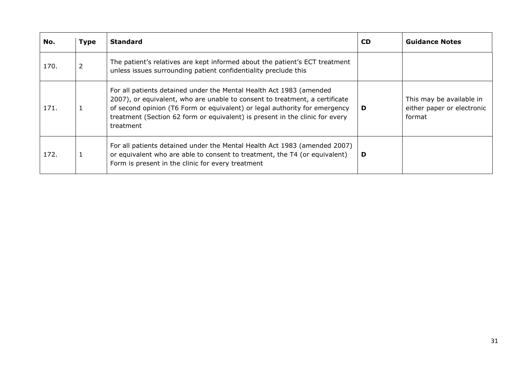| No.  | <b>Type</b> | <b>Standard</b>                                                                                                                                                                                                                                                                                                               | <b>CD</b> | <b>Guidance Notes</b>                                            |
|------|-------------|-------------------------------------------------------------------------------------------------------------------------------------------------------------------------------------------------------------------------------------------------------------------------------------------------------------------------------|-----------|------------------------------------------------------------------|
| 170. | 2           | The patient's relatives are kept informed about the patient's ECT treatment<br>unless issues surrounding patient confidentiality preclude this                                                                                                                                                                                |           |                                                                  |
| 171. |             | For all patients detained under the Mental Health Act 1983 (amended<br>2007), or equivalent, who are unable to consent to treatment, a certificate<br>of second opinion (T6 Form or equivalent) or legal authority for emergency<br>treatment (Section 62 form or equivalent) is present in the clinic for every<br>treatment | D         | This may be available in<br>either paper or electronic<br>format |
| 172. |             | For all patients detained under the Mental Health Act 1983 (amended 2007)<br>or equivalent who are able to consent to treatment, the T4 (or equivalent)<br>Form is present in the clinic for every treatment                                                                                                                  | D         |                                                                  |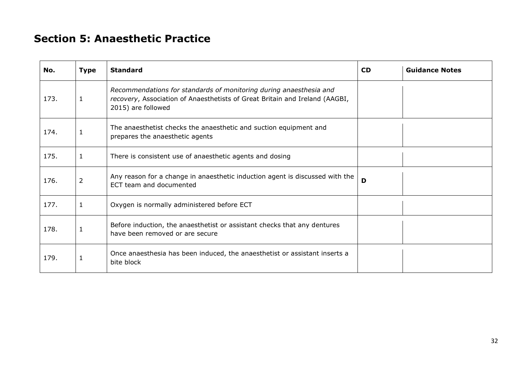## **Section 5: Anaesthetic Practice**

<span id="page-31-0"></span>

| No.  | <b>Type</b>    | <b>Standard</b>                                                                                                                                                         | <b>CD</b> | <b>Guidance Notes</b> |
|------|----------------|-------------------------------------------------------------------------------------------------------------------------------------------------------------------------|-----------|-----------------------|
| 173. | 1              | Recommendations for standards of monitoring during anaesthesia and<br>recovery, Association of Anaesthetists of Great Britain and Ireland (AAGBI,<br>2015) are followed |           |                       |
| 174. | 1              | The anaesthetist checks the anaesthetic and suction equipment and<br>prepares the anaesthetic agents                                                                    |           |                       |
| 175. | 1              | There is consistent use of anaesthetic agents and dosing                                                                                                                |           |                       |
| 176. | $\overline{2}$ | Any reason for a change in anaesthetic induction agent is discussed with the<br>ECT team and documented                                                                 | D         |                       |
| 177. | $\mathbf{1}$   | Oxygen is normally administered before ECT                                                                                                                              |           |                       |
| 178. | 1              | Before induction, the anaesthetist or assistant checks that any dentures<br>have been removed or are secure                                                             |           |                       |
| 179. | $\mathbf{1}$   | Once anaesthesia has been induced, the anaesthetist or assistant inserts a<br>bite block                                                                                |           |                       |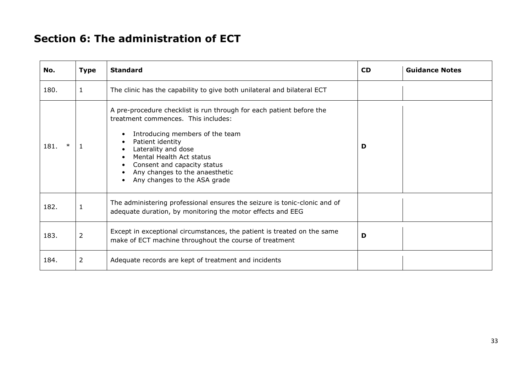## **Section 6: The administration of ECT**

<span id="page-32-0"></span>

| No.            | <b>Type</b>    | <b>Standard</b>                                                                                                                                                                                                                                                                                                                     | <b>CD</b> | <b>Guidance Notes</b> |
|----------------|----------------|-------------------------------------------------------------------------------------------------------------------------------------------------------------------------------------------------------------------------------------------------------------------------------------------------------------------------------------|-----------|-----------------------|
| 180.           | 1              | The clinic has the capability to give both unilateral and bilateral ECT                                                                                                                                                                                                                                                             |           |                       |
| $\ast$<br>181. |                | A pre-procedure checklist is run through for each patient before the<br>treatment commences. This includes:<br>Introducing members of the team<br>$\bullet$<br>Patient identity<br>Laterality and dose<br>Mental Health Act status<br>Consent and capacity status<br>Any changes to the anaesthetic<br>Any changes to the ASA grade | D         |                       |
| 182.           | $\mathbf{1}$   | The administering professional ensures the seizure is tonic-clonic and of<br>adequate duration, by monitoring the motor effects and EEG                                                                                                                                                                                             |           |                       |
| 183.           | $\overline{2}$ | Except in exceptional circumstances, the patient is treated on the same<br>make of ECT machine throughout the course of treatment                                                                                                                                                                                                   | D         |                       |
| 184.           | $\overline{2}$ | Adequate records are kept of treatment and incidents                                                                                                                                                                                                                                                                                |           |                       |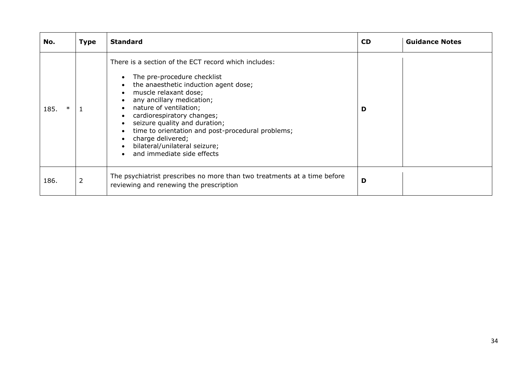| No.            | <b>Type</b>    | <b>Standard</b>                                                                                                                                                                                                                                                                                                                                                                                                                   | <b>CD</b> | <b>Guidance Notes</b> |
|----------------|----------------|-----------------------------------------------------------------------------------------------------------------------------------------------------------------------------------------------------------------------------------------------------------------------------------------------------------------------------------------------------------------------------------------------------------------------------------|-----------|-----------------------|
| $\ast$<br>185. |                | There is a section of the ECT record which includes:<br>The pre-procedure checklist<br>the anaesthetic induction agent dose;<br>muscle relaxant dose;<br>any ancillary medication;<br>nature of ventilation;<br>$\bullet$<br>cardiorespiratory changes;<br>seizure quality and duration;<br>time to orientation and post-procedural problems;<br>charge delivered;<br>bilateral/unilateral seizure;<br>and immediate side effects | D         |                       |
| 186.           | $\overline{2}$ | The psychiatrist prescribes no more than two treatments at a time before<br>reviewing and renewing the prescription                                                                                                                                                                                                                                                                                                               | D         |                       |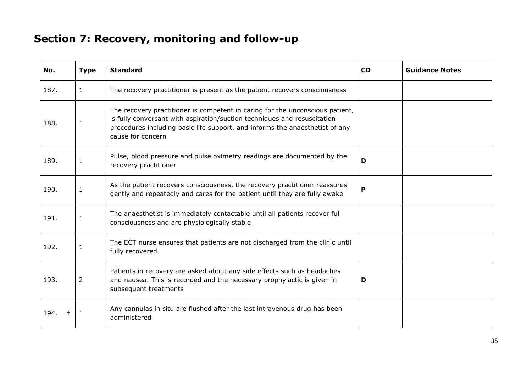# **Section 7: Recovery, monitoring and follow-up**

<span id="page-34-0"></span>

| No.  | <b>Type</b>    | <b>Standard</b>                                                                                                                                                                                                                                                | <b>CD</b> | <b>Guidance Notes</b> |
|------|----------------|----------------------------------------------------------------------------------------------------------------------------------------------------------------------------------------------------------------------------------------------------------------|-----------|-----------------------|
| 187. | $\mathbf{1}$   | The recovery practitioner is present as the patient recovers consciousness                                                                                                                                                                                     |           |                       |
| 188. | $\mathbf{1}$   | The recovery practitioner is competent in caring for the unconscious patient,<br>is fully conversant with aspiration/suction techniques and resuscitation<br>procedures including basic life support, and informs the anaesthetist of any<br>cause for concern |           |                       |
| 189. | 1              | Pulse, blood pressure and pulse oximetry readings are documented by the<br>recovery practitioner                                                                                                                                                               | D         |                       |
| 190. | $\mathbf{1}$   | As the patient recovers consciousness, the recovery practitioner reassures<br>gently and repeatedly and cares for the patient until they are fully awake                                                                                                       |           |                       |
| 191. | $\mathbf{1}$   | The anaesthetist is immediately contactable until all patients recover full<br>consciousness and are physiologically stable                                                                                                                                    |           |                       |
| 192. | $\mathbf{1}$   | The ECT nurse ensures that patients are not discharged from the clinic until<br>fully recovered                                                                                                                                                                |           |                       |
| 193. | $\overline{2}$ | Patients in recovery are asked about any side effects such as headaches<br>and nausea. This is recorded and the necessary prophylactic is given in<br>subsequent treatments                                                                                    | D         |                       |
| 194. | 1.             | Any cannulas in situ are flushed after the last intravenous drug has been<br>administered                                                                                                                                                                      |           |                       |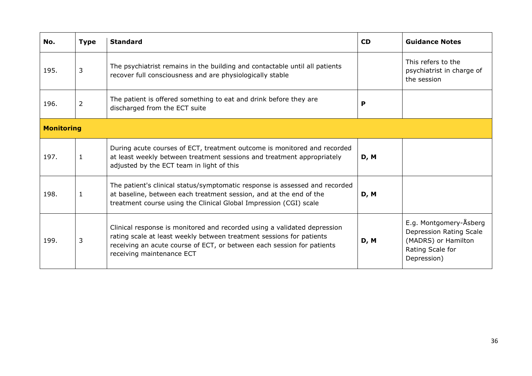| No.               | <b>Type</b>    | <b>Standard</b>                                                                                                                                                                                                                                         | <b>CD</b> | <b>Guidance Notes</b>                                                                                       |
|-------------------|----------------|---------------------------------------------------------------------------------------------------------------------------------------------------------------------------------------------------------------------------------------------------------|-----------|-------------------------------------------------------------------------------------------------------------|
| 195.              | 3              | The psychiatrist remains in the building and contactable until all patients<br>recover full consciousness and are physiologically stable                                                                                                                |           | This refers to the<br>psychiatrist in charge of<br>the session                                              |
| 196.              | $\overline{2}$ | The patient is offered something to eat and drink before they are<br>discharged from the ECT suite                                                                                                                                                      | P         |                                                                                                             |
| <b>Monitoring</b> |                |                                                                                                                                                                                                                                                         |           |                                                                                                             |
| 197.              | 1              | During acute courses of ECT, treatment outcome is monitored and recorded<br>at least weekly between treatment sessions and treatment appropriately<br>adjusted by the ECT team in light of this                                                         | D, M      |                                                                                                             |
| 198.              | 1              | The patient's clinical status/symptomatic response is assessed and recorded<br>at baseline, between each treatment session, and at the end of the<br>treatment course using the Clinical Global Impression (CGI) scale                                  | D, M      |                                                                                                             |
| 199.              | 3              | Clinical response is monitored and recorded using a validated depression<br>rating scale at least weekly between treatment sessions for patients<br>receiving an acute course of ECT, or between each session for patients<br>receiving maintenance ECT | D, M      | E.g. Montgomery-Åsberg<br>Depression Rating Scale<br>(MADRS) or Hamilton<br>Rating Scale for<br>Depression) |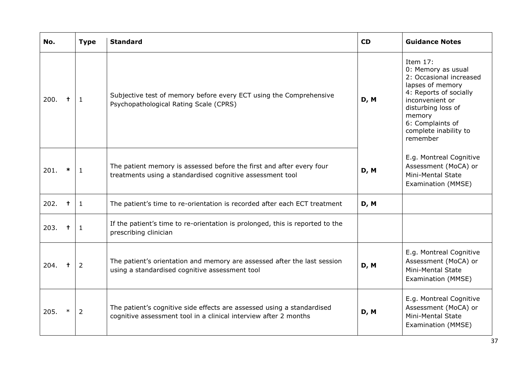| No.  |              | <b>Type</b>    | <b>Standard</b>                                                                                                                            | <b>CD</b> | <b>Guidance Notes</b>                                                                                                                                                                                                 |
|------|--------------|----------------|--------------------------------------------------------------------------------------------------------------------------------------------|-----------|-----------------------------------------------------------------------------------------------------------------------------------------------------------------------------------------------------------------------|
| 200. | $\mathbf +$  | $\mathbf{1}$   | Subjective test of memory before every ECT using the Comprehensive<br>Psychopathological Rating Scale (CPRS)                               | D, M      | Item $17:$<br>0: Memory as usual<br>2: Occasional increased<br>lapses of memory<br>4: Reports of socially<br>inconvenient or<br>disturbing loss of<br>memory<br>6: Complaints of<br>complete inability to<br>remember |
| 201. | $\pmb{\ast}$ | 1              | The patient memory is assessed before the first and after every four<br>treatments using a standardised cognitive assessment tool          | D, M      | E.g. Montreal Cognitive<br>Assessment (MoCA) or<br>Mini-Mental State<br>Examination (MMSE)                                                                                                                            |
| 202. | $\ddagger$   | $\mathbf{1}$   | The patient's time to re-orientation is recorded after each ECT treatment                                                                  | D, M      |                                                                                                                                                                                                                       |
| 203. | $\ddagger$   | $\mathbf{1}$   | If the patient's time to re-orientation is prolonged, this is reported to the<br>prescribing clinician                                     |           |                                                                                                                                                                                                                       |
| 204. | $\pm$        | $\overline{2}$ | The patient's orientation and memory are assessed after the last session<br>using a standardised cognitive assessment tool                 | D, M      | E.g. Montreal Cognitive<br>Assessment (MoCA) or<br>Mini-Mental State<br>Examination (MMSE)                                                                                                                            |
| 205. | $\ast$       | $\overline{2}$ | The patient's cognitive side effects are assessed using a standardised<br>cognitive assessment tool in a clinical interview after 2 months | D, M      | E.g. Montreal Cognitive<br>Assessment (MoCA) or<br>Mini-Mental State<br>Examination (MMSE)                                                                                                                            |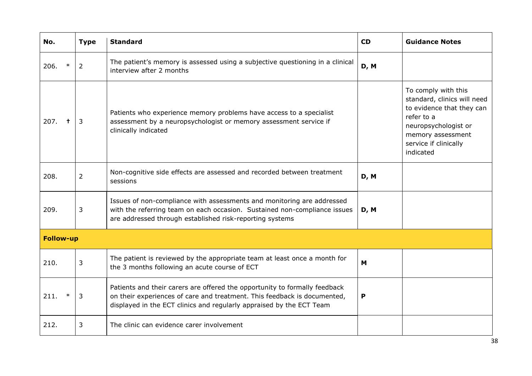| No.              | <b>Type</b>    | <b>Standard</b>                                                                                                                                                                                                                | <b>CD</b> | <b>Guidance Notes</b>                                                                                                                                                            |
|------------------|----------------|--------------------------------------------------------------------------------------------------------------------------------------------------------------------------------------------------------------------------------|-----------|----------------------------------------------------------------------------------------------------------------------------------------------------------------------------------|
| 206.<br>$\ast$   | 2              | The patient's memory is assessed using a subjective questioning in a clinical<br>interview after 2 months                                                                                                                      | D, M      |                                                                                                                                                                                  |
| 207.<br>$\pm$    | $\overline{3}$ | Patients who experience memory problems have access to a specialist<br>assessment by a neuropsychologist or memory assessment service if<br>clinically indicated                                                               |           | To comply with this<br>standard, clinics will need<br>to evidence that they can<br>refer to a<br>neuropsychologist or<br>memory assessment<br>service if clinically<br>indicated |
| 208.             | $\overline{2}$ | Non-cognitive side effects are assessed and recorded between treatment<br>sessions                                                                                                                                             | D, M      |                                                                                                                                                                                  |
| 209.             | 3              | Issues of non-compliance with assessments and monitoring are addressed<br>with the referring team on each occasion. Sustained non-compliance issues<br>are addressed through established risk-reporting systems                | D, M      |                                                                                                                                                                                  |
| <b>Follow-up</b> |                |                                                                                                                                                                                                                                |           |                                                                                                                                                                                  |
| 210.             | 3              | The patient is reviewed by the appropriate team at least once a month for<br>the 3 months following an acute course of ECT                                                                                                     | M         |                                                                                                                                                                                  |
| $\ast$<br>211.   | 3              | Patients and their carers are offered the opportunity to formally feedback<br>on their experiences of care and treatment. This feedback is documented,<br>displayed in the ECT clinics and regularly appraised by the ECT Team | P         |                                                                                                                                                                                  |
| 212.             | 3              | The clinic can evidence carer involvement                                                                                                                                                                                      |           |                                                                                                                                                                                  |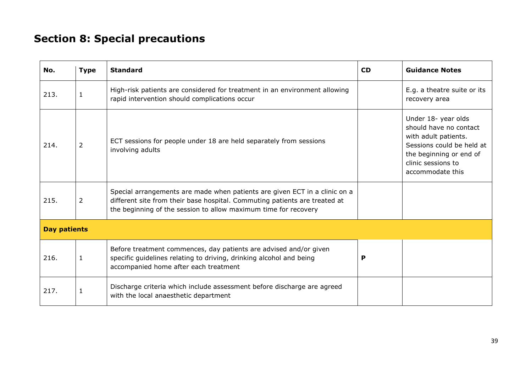# **Section 8: Special precautions**

<span id="page-38-0"></span>

| No.                 | <b>Type</b>    | <b>Standard</b>                                                                                                                                                                                                             | <b>CD</b> | <b>Guidance Notes</b>                                                                                                                                                   |
|---------------------|----------------|-----------------------------------------------------------------------------------------------------------------------------------------------------------------------------------------------------------------------------|-----------|-------------------------------------------------------------------------------------------------------------------------------------------------------------------------|
| 213.                | 1              | High-risk patients are considered for treatment in an environment allowing<br>rapid intervention should complications occur                                                                                                 |           | E.g. a theatre suite or its<br>recovery area                                                                                                                            |
| 214.                | $\overline{2}$ | ECT sessions for people under 18 are held separately from sessions<br>involving adults                                                                                                                                      |           | Under 18- year olds<br>should have no contact<br>with adult patients.<br>Sessions could be held at<br>the beginning or end of<br>clinic sessions to<br>accommodate this |
| 215.                | $\overline{2}$ | Special arrangements are made when patients are given ECT in a clinic on a<br>different site from their base hospital. Commuting patients are treated at<br>the beginning of the session to allow maximum time for recovery |           |                                                                                                                                                                         |
| <b>Day patients</b> |                |                                                                                                                                                                                                                             |           |                                                                                                                                                                         |
| 216.                | $\mathbf{1}$   | Before treatment commences, day patients are advised and/or given<br>specific guidelines relating to driving, drinking alcohol and being<br>accompanied home after each treatment                                           | P         |                                                                                                                                                                         |
| 217.                | 1              | Discharge criteria which include assessment before discharge are agreed<br>with the local anaesthetic department                                                                                                            |           |                                                                                                                                                                         |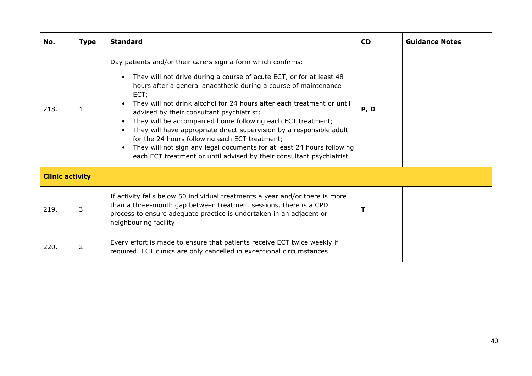| No.  | <b>Type</b>            | <b>Standard</b>                                                                                                                                                                                                                                                                                                                                                                                                                                                                                                                                                                                                                                                                    | <b>CD</b> | <b>Guidance Notes</b> |  |
|------|------------------------|------------------------------------------------------------------------------------------------------------------------------------------------------------------------------------------------------------------------------------------------------------------------------------------------------------------------------------------------------------------------------------------------------------------------------------------------------------------------------------------------------------------------------------------------------------------------------------------------------------------------------------------------------------------------------------|-----------|-----------------------|--|
| 218. | 1                      | Day patients and/or their carers sign a form which confirms:<br>They will not drive during a course of acute ECT, or for at least 48<br>hours after a general anaesthetic during a course of maintenance<br>ECT;<br>They will not drink alcohol for 24 hours after each treatment or until<br>advised by their consultant psychiatrist;<br>They will be accompanied home following each ECT treatment;<br>They will have appropriate direct supervision by a responsible adult<br>for the 24 hours following each ECT treatment;<br>They will not sign any legal documents for at least 24 hours following<br>each ECT treatment or until advised by their consultant psychiatrist | P, D      |                       |  |
|      | <b>Clinic activity</b> |                                                                                                                                                                                                                                                                                                                                                                                                                                                                                                                                                                                                                                                                                    |           |                       |  |
| 219. | 3                      | If activity falls below 50 individual treatments a year and/or there is more<br>than a three-month gap between treatment sessions, there is a CPD<br>process to ensure adequate practice is undertaken in an adjacent or<br>neighbouring facility                                                                                                                                                                                                                                                                                                                                                                                                                                  |           |                       |  |
| 220. | 2                      | Every effort is made to ensure that patients receive ECT twice weekly if<br>required. ECT clinics are only cancelled in exceptional circumstances                                                                                                                                                                                                                                                                                                                                                                                                                                                                                                                                  |           |                       |  |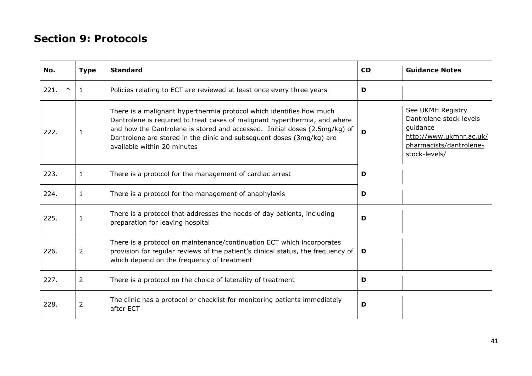### **Section 9: Protocols**

<span id="page-40-0"></span>

| No.            | <b>Type</b> | <b>Standard</b>                                                                                                                                                                                                                                                                                                                          | <b>CD</b> | <b>Guidance Notes</b>                                                                                                           |
|----------------|-------------|------------------------------------------------------------------------------------------------------------------------------------------------------------------------------------------------------------------------------------------------------------------------------------------------------------------------------------------|-----------|---------------------------------------------------------------------------------------------------------------------------------|
| 221.<br>$\ast$ | -1          | Policies relating to ECT are reviewed at least once every three years                                                                                                                                                                                                                                                                    | D         |                                                                                                                                 |
| 222.           | 1           | There is a malignant hyperthermia protocol which identifies how much<br>Dantrolene is required to treat cases of malignant hyperthermia, and where<br>and how the Dantrolene is stored and accessed. Initial doses (2.5mg/kg) of<br>Dantrolene are stored in the clinic and subsequent doses (3mg/kg) are<br>available within 20 minutes | D         | See UKMH Registry<br>Dantrolene stock levels<br>guidance<br>http://www.ukmhr.ac.uk/<br>pharmacists/dantrolene-<br>stock-levels/ |
| 223.           | 1           | There is a protocol for the management of cardiac arrest                                                                                                                                                                                                                                                                                 | D         |                                                                                                                                 |
| 224.           | 1           | There is a protocol for the management of anaphylaxis                                                                                                                                                                                                                                                                                    | D         |                                                                                                                                 |
| 225.           | 1           | There is a protocol that addresses the needs of day patients, including<br>preparation for leaving hospital                                                                                                                                                                                                                              | D         |                                                                                                                                 |
| 226.           | 2           | There is a protocol on maintenance/continuation ECT which incorporates<br>provision for regular reviews of the patient's clinical status, the frequency of<br>which depend on the frequency of treatment                                                                                                                                 | D         |                                                                                                                                 |
| 227.           | 2           | There is a protocol on the choice of laterality of treatment                                                                                                                                                                                                                                                                             | D         |                                                                                                                                 |
| 228.           | 2           | The clinic has a protocol or checklist for monitoring patients immediately<br>after ECT                                                                                                                                                                                                                                                  | D         |                                                                                                                                 |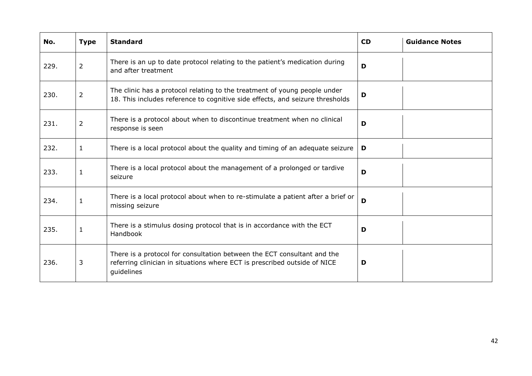| No.  | <b>Type</b>    | <b>Standard</b>                                                                                                                                                    | <b>CD</b> | <b>Guidance Notes</b> |
|------|----------------|--------------------------------------------------------------------------------------------------------------------------------------------------------------------|-----------|-----------------------|
| 229. | $\overline{2}$ | There is an up to date protocol relating to the patient's medication during<br>and after treatment                                                                 | D         |                       |
| 230. | $\overline{2}$ | The clinic has a protocol relating to the treatment of young people under<br>18. This includes reference to cognitive side effects, and seizure thresholds         | D         |                       |
| 231. | $\overline{2}$ | There is a protocol about when to discontinue treatment when no clinical<br>response is seen                                                                       | D         |                       |
| 232. | $\mathbf{1}$   | There is a local protocol about the quality and timing of an adequate seizure                                                                                      | D         |                       |
| 233. | $\mathbf{1}$   | There is a local protocol about the management of a prolonged or tardive<br>seizure                                                                                | D         |                       |
| 234. | $\mathbf{1}$   | There is a local protocol about when to re-stimulate a patient after a brief or<br>missing seizure                                                                 | D         |                       |
| 235. | $\mathbf{1}$   | There is a stimulus dosing protocol that is in accordance with the ECT<br>Handbook                                                                                 | D         |                       |
| 236. | 3              | There is a protocol for consultation between the ECT consultant and the<br>referring clinician in situations where ECT is prescribed outside of NICE<br>guidelines | D         |                       |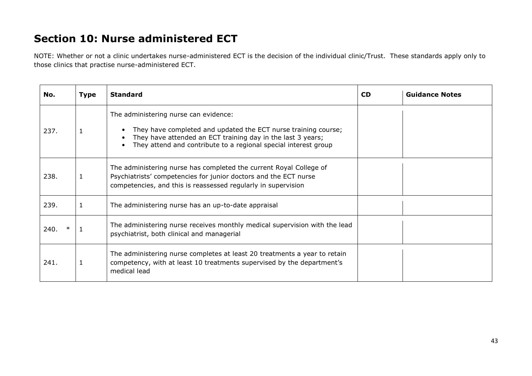### **Section 10: Nurse administered ECT**

NOTE: Whether or not a clinic undertakes nurse-administered ECT is the decision of the individual clinic/Trust. These standards apply only to those clinics that practise nurse-administered ECT.

<span id="page-42-0"></span>

| No.  | <b>Type</b> | <b>Standard</b>                                                                                                                                                                                                                           | <b>CD</b> | <b>Guidance Notes</b> |
|------|-------------|-------------------------------------------------------------------------------------------------------------------------------------------------------------------------------------------------------------------------------------------|-----------|-----------------------|
| 237. |             | The administering nurse can evidence:<br>They have completed and updated the ECT nurse training course;<br>They have attended an ECT training day in the last 3 years;<br>They attend and contribute to a regional special interest group |           |                       |
| 238. | 1           | The administering nurse has completed the current Royal College of<br>Psychiatrists' competencies for junior doctors and the ECT nurse<br>competencies, and this is reassessed regularly in supervision                                   |           |                       |
| 239. | 1           | The administering nurse has an up-to-date appraisal                                                                                                                                                                                       |           |                       |
| 240. |             | The administering nurse receives monthly medical supervision with the lead<br>psychiatrist, both clinical and managerial                                                                                                                  |           |                       |
| 241. | 1           | The administering nurse completes at least 20 treatments a year to retain<br>competency, with at least 10 treatments supervised by the department's<br>medical lead                                                                       |           |                       |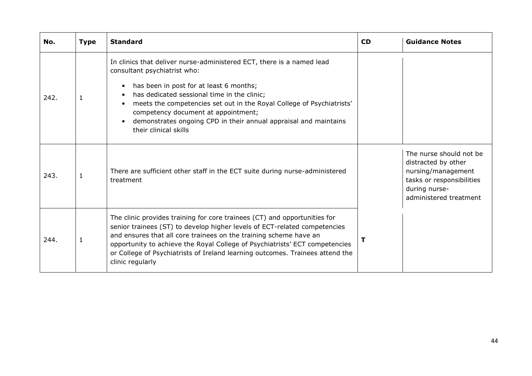| No.  | <b>Type</b> | <b>Standard</b>                                                                                                                                                                                                                                                                                                                                                                                                                                     | <b>CD</b> | <b>Guidance Notes</b>                                                                                                                        |
|------|-------------|-----------------------------------------------------------------------------------------------------------------------------------------------------------------------------------------------------------------------------------------------------------------------------------------------------------------------------------------------------------------------------------------------------------------------------------------------------|-----------|----------------------------------------------------------------------------------------------------------------------------------------------|
| 242. |             | In clinics that deliver nurse-administered ECT, there is a named lead<br>consultant psychiatrist who:<br>has been in post for at least 6 months;<br>$\bullet$<br>has dedicated sessional time in the clinic;<br>$\bullet$<br>meets the competencies set out in the Royal College of Psychiatrists'<br>competency document at appointment;<br>demonstrates ongoing CPD in their annual appraisal and maintains<br>$\bullet$<br>their clinical skills |           |                                                                                                                                              |
| 243. | 1           | There are sufficient other staff in the ECT suite during nurse-administered<br>treatment                                                                                                                                                                                                                                                                                                                                                            |           | The nurse should not be<br>distracted by other<br>nursing/management<br>tasks or responsibilities<br>during nurse-<br>administered treatment |
| 244. | 1           | The clinic provides training for core trainees (CT) and opportunities for<br>senior trainees (ST) to develop higher levels of ECT-related competencies<br>and ensures that all core trainees on the training scheme have an<br>opportunity to achieve the Royal College of Psychiatrists' ECT competencies<br>or College of Psychiatrists of Ireland learning outcomes. Trainees attend the<br>clinic regularly                                     | т         |                                                                                                                                              |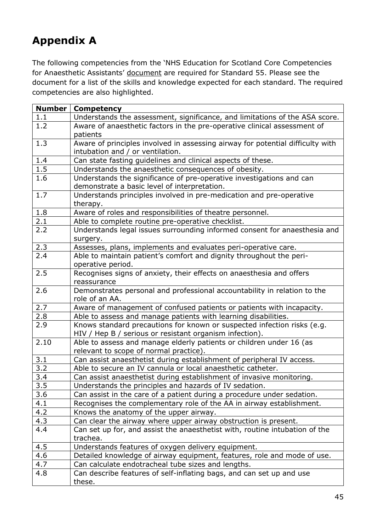## <span id="page-44-0"></span>**Appendix A**

The following competencies from the 'NHS Education for Scotland Core Competencies for Anaesthetic Assistants' document are required for Standard 55. Please see the document for a list of the skills and knowledge expected for each standard. The required competencies are also highlighted.

| <b>Number</b>    | <b>Competency</b>                                                              |
|------------------|--------------------------------------------------------------------------------|
| 1.1              | Understands the assessment, significance, and limitations of the ASA score.    |
| 1.2              | Aware of anaesthetic factors in the pre-operative clinical assessment of       |
|                  | patients                                                                       |
| 1.3              | Aware of principles involved in assessing airway for potential difficulty with |
|                  | intubation and / or ventilation.                                               |
| 1.4              | Can state fasting guidelines and clinical aspects of these.                    |
| 1.5              | Understands the anaesthetic consequences of obesity.                           |
| 1.6              | Understands the significance of pre-operative investigations and can           |
|                  | demonstrate a basic level of interpretation.                                   |
| 1.7              | Understands principles involved in pre-medication and pre-operative            |
|                  | therapy.                                                                       |
| 1.8              | Aware of roles and responsibilities of theatre personnel.                      |
| 2.1              | Able to complete routine pre-operative checklist.                              |
| $\overline{2.2}$ | Understands legal issues surrounding informed consent for anaesthesia and      |
|                  | surgery.                                                                       |
| 2.3              | Assesses, plans, implements and evaluates peri-operative care.                 |
| 2.4              | Able to maintain patient's comfort and dignity throughout the peri-            |
|                  | operative period.                                                              |
| 2.5              | Recognises signs of anxiety, their effects on anaesthesia and offers           |
|                  | reassurance                                                                    |
| 2.6              | Demonstrates personal and professional accountability in relation to the       |
|                  | role of an AA.                                                                 |
| 2.7              | Aware of management of confused patients or patients with incapacity.          |
| 2.8              | Able to assess and manage patients with learning disabilities.                 |
| 2.9              | Knows standard precautions for known or suspected infection risks (e.g.        |
|                  | HIV / Hep B / serious or resistant organism infection).                        |
| 2.10             | Able to assess and manage elderly patients or children under 16 (as            |
|                  | relevant to scope of normal practice).                                         |
| 3.1              | Can assist anaesthetist during establishment of peripheral IV access.          |
| 3.2              | Able to secure an IV cannula or local anaesthetic catheter.                    |
| 3.4              | Can assist anaesthetist during establishment of invasive monitoring.           |
| 3.5              | Understands the principles and hazards of IV sedation.                         |
| 3.6              | Can assist in the care of a patient during a procedure under sedation.         |
| 4.1              | Recognises the complementary role of the AA in airway establishment.           |
| 4.2              | Knows the anatomy of the upper airway.                                         |
| 4.3              | Can clear the airway where upper airway obstruction is present.                |
| 4.4              | Can set up for, and assist the anaesthetist with, routine intubation of the    |
|                  | trachea.                                                                       |
| 4.5              | Understands features of oxygen delivery equipment.                             |
| 4.6              | Detailed knowledge of airway equipment, features, role and mode of use.        |
| 4.7              | Can calculate endotracheal tube sizes and lengths.                             |
| 4.8              | Can describe features of self-inflating bags, and can set up and use           |
|                  | these.                                                                         |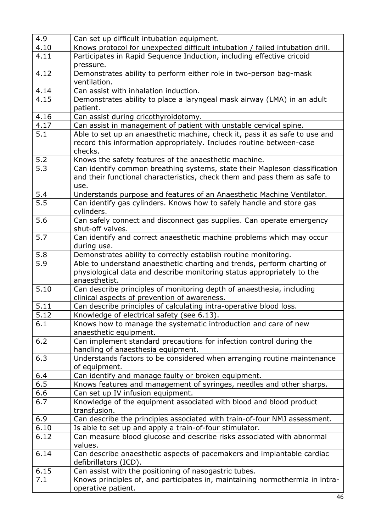| 4.9              | Can set up difficult intubation equipment.                                                |
|------------------|-------------------------------------------------------------------------------------------|
| 4.10             | Knows protocol for unexpected difficult intubation / failed intubation drill.             |
| 4.11             | Participates in Rapid Sequence Induction, including effective cricoid                     |
|                  | pressure.                                                                                 |
| 4.12             | Demonstrates ability to perform either role in two-person bag-mask                        |
|                  | ventilation.                                                                              |
| 4.14             | Can assist with inhalation induction.                                                     |
| 4.15             | Demonstrates ability to place a laryngeal mask airway (LMA) in an adult                   |
|                  | patient.                                                                                  |
| 4.16             | Can assist during cricothyroidotomy.                                                      |
| 4.17             | Can assist in management of patient with unstable cervical spine.                         |
| 5.1              | Able to set up an anaesthetic machine, check it, pass it as safe to use and               |
|                  | record this information appropriately. Includes routine between-case                      |
|                  | checks.                                                                                   |
| 5.2              | Knows the safety features of the anaesthetic machine.                                     |
| 5.3              | Can identify common breathing systems, state their Mapleson classification                |
|                  | and their functional characteristics, check them and pass them as safe to                 |
|                  | use.                                                                                      |
| 5.4              | Understands purpose and features of an Anaesthetic Machine Ventilator.                    |
| $\overline{5.5}$ | Can identify gas cylinders. Knows how to safely handle and store gas                      |
| 5.6              | cylinders.                                                                                |
|                  | Can safely connect and disconnect gas supplies. Can operate emergency                     |
| 5.7              | shut-off valves.<br>Can identify and correct anaesthetic machine problems which may occur |
|                  | during use.                                                                               |
| 5.8              | Demonstrates ability to correctly establish routine monitoring.                           |
| 5.9              | Able to understand anaesthetic charting and trends, perform charting of                   |
|                  | physiological data and describe monitoring status appropriately to the                    |
|                  | anaesthetist.                                                                             |
| 5.10             | Can describe principles of monitoring depth of anaesthesia, including                     |
|                  | clinical aspects of prevention of awareness.                                              |
| 5.11             | Can describe principles of calculating intra-operative blood loss.                        |
| 5.12             | Knowledge of electrical safety (see 6.13).                                                |
| 6.1              | Knows how to manage the systematic introduction and care of new                           |
|                  | anaesthetic equipment.                                                                    |
| 6.2              | Can implement standard precautions for infection control during the                       |
|                  | handling of anaesthesia equipment.                                                        |
| 6.3              | Understands factors to be considered when arranging routine maintenance                   |
|                  | of equipment.                                                                             |
| 6.4              | Can identify and manage faulty or broken equipment.                                       |
| 6.5              | Knows features and management of syringes, needles and other sharps.                      |
| 6.6              | Can set up IV infusion equipment.                                                         |
| 6.7              | Knowledge of the equipment associated with blood and blood product                        |
|                  | transfusion.                                                                              |
| 6.9              | Can describe the principles associated with train-of-four NMJ assessment.                 |
| 6.10             | Is able to set up and apply a train-of-four stimulator.                                   |
| 6.12             | Can measure blood glucose and describe risks associated with abnormal                     |
|                  | values.                                                                                   |
| 6.14             | Can describe anaesthetic aspects of pacemakers and implantable cardiac                    |
|                  | defibrillators (ICD).                                                                     |
| 6.15             | Can assist with the positioning of nasogastric tubes.                                     |
| 7.1              | Knows principles of, and participates in, maintaining normothermia in intra-              |
|                  | operative patient.                                                                        |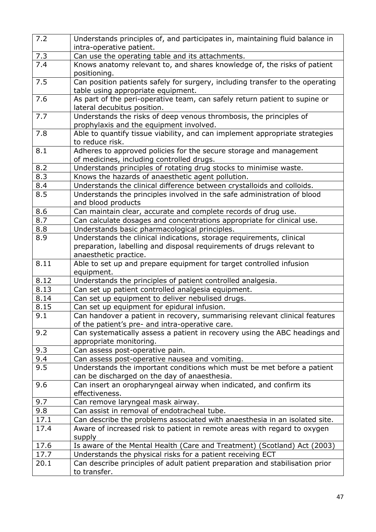| 7.2              | Understands principles of, and participates in, maintaining fluid balance in<br>intra-operative patient.                                      |
|------------------|-----------------------------------------------------------------------------------------------------------------------------------------------|
| 7.3              | Can use the operating table and its attachments.                                                                                              |
| $\overline{7.4}$ | Knows anatomy relevant to, and shares knowledge of, the risks of patient<br>positioning.                                                      |
| 7.5              | Can position patients safely for surgery, including transfer to the operating<br>table using appropriate equipment.                           |
| 7.6              | As part of the peri-operative team, can safely return patient to supine or<br>lateral decubitus position.                                     |
| 7.7              | Understands the risks of deep venous thrombosis, the principles of<br>prophylaxis and the equipment involved.                                 |
| 7.8              | Able to quantify tissue viability, and can implement appropriate strategies<br>to reduce risk.                                                |
| 8.1              | Adheres to approved policies for the secure storage and management<br>of medicines, including controlled drugs.                               |
| 8.2              | Understands principles of rotating drug stocks to minimise waste.                                                                             |
| 8.3              | Knows the hazards of anaesthetic agent pollution.                                                                                             |
| 8.4              | Understands the clinical difference between crystalloids and colloids.                                                                        |
| 8.5              | Understands the principles involved in the safe administration of blood<br>and blood products                                                 |
| 8.6              | Can maintain clear, accurate and complete records of drug use.                                                                                |
| 8.7              | Can calculate dosages and concentrations appropriate for clinical use.                                                                        |
| 8.8              | Understands basic pharmacological principles.                                                                                                 |
| 8.9              | Understands the clinical indications, storage requirements, clinical<br>preparation, labelling and disposal requirements of drugs relevant to |
|                  | anaesthetic practice.                                                                                                                         |
| 8.11             | Able to set up and prepare equipment for target controlled infusion<br>equipment.                                                             |
| 8.12             | Understands the principles of patient controlled analgesia.                                                                                   |
| 8.13             | Can set up patient controlled analgesia equipment.                                                                                            |
| 8.14             | Can set up equipment to deliver nebulised drugs.                                                                                              |
| 8.15             | Can set up equipment for epidural infusion.                                                                                                   |
| 9.1              | Can handover a patient in recovery, summarising relevant clinical features<br>of the patient's pre- and intra-operative care.                 |
| 9.2              | Can systematically assess a patient in recovery using the ABC headings and<br>appropriate monitoring.                                         |
| 9.3              | Can assess post-operative pain.                                                                                                               |
| 9.4              | Can assess post-operative nausea and vomiting.                                                                                                |
| 9.5              | Understands the important conditions which must be met before a patient<br>can be discharged on the day of anaesthesia.                       |
| 9.6              | Can insert an oropharyngeal airway when indicated, and confirm its<br>effectiveness.                                                          |
| 9.7              | Can remove laryngeal mask airway.                                                                                                             |
| 9.8              | Can assist in removal of endotracheal tube.                                                                                                   |
| 17.1             | Can describe the problems associated with anaesthesia in an isolated site.                                                                    |
| 17.4             | Aware of increased risk to patient in remote areas with regard to oxygen<br>supply                                                            |
| 17.6             | Is aware of the Mental Health (Care and Treatment) (Scotland) Act (2003)                                                                      |
| 17.7             | Understands the physical risks for a patient receiving ECT                                                                                    |
| 20.1             | Can describe principles of adult patient preparation and stabilisation prior<br>to transfer.                                                  |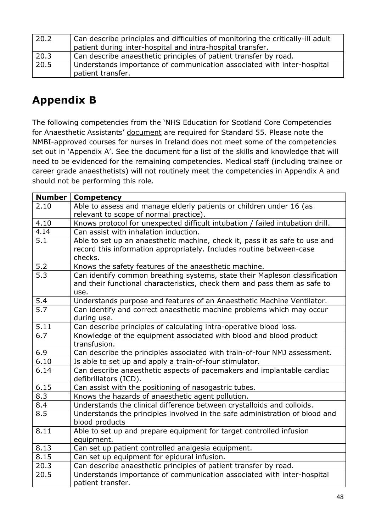| 20.2 | Can describe principles and difficulties of monitoring the critically-ill adult<br>patient during inter-hospital and intra-hospital transfer. |
|------|-----------------------------------------------------------------------------------------------------------------------------------------------|
| 20.3 | Can describe anaesthetic principles of patient transfer by road.                                                                              |
| 20.5 | Understands importance of communication associated with inter-hospital<br>patient transfer.                                                   |

## <span id="page-47-0"></span>**Appendix B**

The following competencies from the 'NHS Education for Scotland Core Competencies for Anaesthetic Assistants' document are required for Standard 55. Please note the NMBI-approved courses for nurses in Ireland does not meet some of the competencies set out in 'Appendix A'. See the document for a list of the skills and knowledge that will need to be evidenced for the remaining competencies. Medical staff (including trainee or career grade anaesthetists) will not routinely meet the competencies in Appendix A and should not be performing this role.

| <b>Number</b>    | <b>Competency</b>                                                               |
|------------------|---------------------------------------------------------------------------------|
| 2.10             | Able to assess and manage elderly patients or children under 16 (as             |
|                  | relevant to scope of normal practice).                                          |
| 4.10             | Knows protocol for unexpected difficult intubation / failed intubation drill.   |
| 4.14             | Can assist with inhalation induction.                                           |
| 5.1              | Able to set up an anaesthetic machine, check it, pass it as safe to use and     |
|                  | record this information appropriately. Includes routine between-case<br>checks. |
| 5.2              | Knows the safety features of the anaesthetic machine.                           |
| 5.3              | Can identify common breathing systems, state their Mapleson classification      |
|                  | and their functional characteristics, check them and pass them as safe to       |
|                  | use.                                                                            |
| 5.4              | Understands purpose and features of an Anaesthetic Machine Ventilator.          |
| $\overline{5.7}$ | Can identify and correct anaesthetic machine problems which may occur           |
|                  | during use.                                                                     |
| 5.11             | Can describe principles of calculating intra-operative blood loss.              |
| 6.7              | Knowledge of the equipment associated with blood and blood product              |
|                  | transfusion.                                                                    |
| 6.9              | Can describe the principles associated with train-of-four NMJ assessment.       |
| 6.10             | Is able to set up and apply a train-of-four stimulator.                         |
| 6.14             | Can describe anaesthetic aspects of pacemakers and implantable cardiac          |
|                  | defibrillators (ICD).                                                           |
| 6.15             | Can assist with the positioning of nasogastric tubes.                           |
| 8.3              | Knows the hazards of anaesthetic agent pollution.                               |
| 8.4              | Understands the clinical difference between crystalloids and colloids.          |
| 8.5              | Understands the principles involved in the safe administration of blood and     |
|                  | blood products                                                                  |
| 8.11             | Able to set up and prepare equipment for target controlled infusion             |
|                  | equipment.                                                                      |
| 8.13             | Can set up patient controlled analgesia equipment.                              |
| 8.15             | Can set up equipment for epidural infusion.                                     |
| 20.3             | Can describe anaesthetic principles of patient transfer by road.                |
| 20.5             | Understands importance of communication associated with inter-hospital          |
|                  | patient transfer.                                                               |